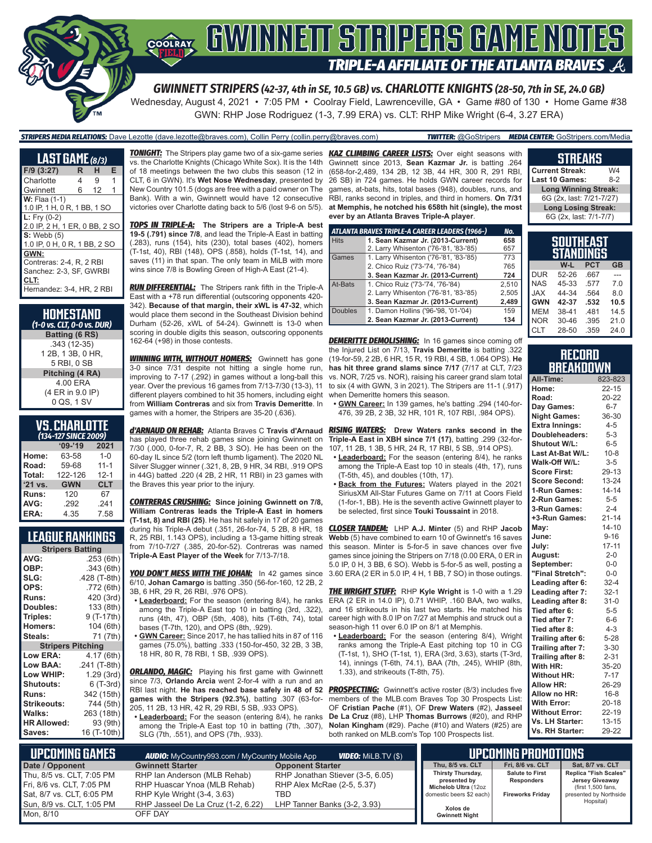# **COORAY GWINNEIT STRIPERS GAME NOTES TRIPLE-A AFFILIATE OF THE ATLANTA BRAVES**

*GWINNETT STRIPERS (42-37, 4th in SE, 10.5 GB) vs. CHARLOTTE KNIGHTS (28-50, 7th in SE, 24.0 GB)* Wednesday, August 4, 2021 • 7:05 PM • Coolray Field, Lawrenceville, GA • Game #80 of 130 • Home Game #38 GWN: RHP Jose Rodriguez (1-3, 7.99 ERA) vs. CLT: RHP Mike Wright (6-4, 3.27 ERA)

*STRIPERS MEDIA RELATIONS:* Dave Lezotte (dave.lezotte@braves.com), Collin Perry (collin.perry@braves.com) *TWITTER:* @GoStripers *MEDIA CENTER:* GoStripers.com/Media

| <b>LAST GAME</b> (8/3)                                 |   |    |   |
|--------------------------------------------------------|---|----|---|
| $F/9$ (3:27)                                           | R | н  | Е |
| Charlotte                                              | 4 | 9  | 1 |
| Gwinnett                                               | 6 | 12 | 1 |
| $W:$ Flaa $(1-1)$                                      |   |    |   |
| 1.0 IP, 1 H, 0 R, 1 BB, 1 SO                           |   |    |   |
| <b>L:</b> Fry $(0-2)$<br>2.0 IP, 2 H, 1 ER, 0 BB, 2 SO |   |    |   |
| $S:$ Webb $(5)$                                        |   |    |   |
| 1.0 IP, 0 H, 0 R, 1 BB, 2 SO                           |   |    |   |
| GWN:                                                   |   |    |   |
| Contreras: 2-4, R. 2 RBI                               |   |    |   |
| Sanchez: 2-3, SF, GWRBI                                |   |    |   |
| CLT:                                                   |   |    |   |
| Hernandez: 3-4, HR, 2 RBI                              |   |    |   |

| <b>HOMESTAND</b><br>(1-0 vs. CLT, 0-0 vs. DUR) |  |
|------------------------------------------------|--|
| Batting (6 RS)                                 |  |
| .343 (12-35)                                   |  |
| 1 2B, 1 3B, 0 HR,                              |  |
| 5 RBI, 0 SB                                    |  |
| Pitching (4 RA)                                |  |
| 4.00 ERA                                       |  |
| (4 ER in 9.0 IP)                               |  |
| 0 QS, 1 SV                                     |  |

### **VS. CHARLOTTE**

| (134-127 SINCE 2009) |            |            |  |  |  |  |
|----------------------|------------|------------|--|--|--|--|
|                      | $'09-'19$  | 2021       |  |  |  |  |
| Home:                | 63-58      | $1 - 0$    |  |  |  |  |
| Road:                | 59-68      | $11 - 1$   |  |  |  |  |
| Total:               | 122-126    | $12 - 1$   |  |  |  |  |
| $'21$ vs.            | <b>GWN</b> | <b>CLT</b> |  |  |  |  |
| Runs:                | 120        | 67         |  |  |  |  |
| AVG:                 | .292       | .241       |  |  |  |  |
| ERA:                 | 4.35       | 7.58       |  |  |  |  |

### **LEAGUE RANKINGS**

| <b>Stripers Batting</b>  |              |  |  |  |  |
|--------------------------|--------------|--|--|--|--|
| AVG:                     | .253 (6th)   |  |  |  |  |
| OBP:                     | .343 (6th)   |  |  |  |  |
| SLG:                     | .428 (T-8th) |  |  |  |  |
| OPS:                     | .772 (6th)   |  |  |  |  |
| <b>Runs:</b>             | 420 (3rd)    |  |  |  |  |
| Doubles:                 | 133 (8th)    |  |  |  |  |
| Triples:                 | 9 (T-17th)   |  |  |  |  |
| <b>Homers:</b>           | 104 (6th)    |  |  |  |  |
| Steals:                  | 71 (7th)     |  |  |  |  |
| <b>Stripers Pitching</b> |              |  |  |  |  |
| <b>Low ERA:</b>          | 4.17 (6th)   |  |  |  |  |
| <b>Low BAA:</b>          | .241 (T-8th) |  |  |  |  |
| Low WHIP:                | 1.29 (3rd)   |  |  |  |  |
| <b>Shutouts:</b>         | 6 (T-3rd)    |  |  |  |  |
| Runs:                    | 342 (15th)   |  |  |  |  |
| <b>Strikeouts:</b>       | 744 (5th)    |  |  |  |  |
| <b>Walks:</b>            | 263 (18th)   |  |  |  |  |
| <b>HR Allowed:</b>       | 93 (9th)     |  |  |  |  |
| Saves:                   | 16 (T-10th)  |  |  |  |  |

vs. the Charlotte Knights (Chicago White Sox). It is the 14th of 18 meetings between the two clubs this season (12 in CLT, 6 in GWN). It's **Wet Nose Wednesday**, presented by New Country 101.5 (dogs are free with a paid owner on The Bank). With a win, Gwinnett would have 12 consecutive victories over Charlotte dating back to 5/6 (lost 9-6 on 5/5).

*TOPS IN TRIPLE-A:* **The Stripers are a Triple-A best 19-5 (.791) since 7/8**, and lead the Triple-A East in batting (.283), runs (154), hits (230), total bases (402), homers (T-1st, 40), RBI (148), OPS (.858), holds (T-1st, 14), and saves (11) in that span. The only team in MiLB with more wins since 7/8 is Bowling Green of High-A East (21-4).

*RUN DIFFERENTIAL:* The Stripers rank fifth in the Triple-A East with a +78 run differential (outscoring opponents 420- 342). **Because of that margin, their xWL is 47-32**, which would place them second in the Southeast Division behind Durham (52-26, xWL of 54-24). Gwinnett is 13-0 when scoring in double digits this season, outscoring opponents 162-64 (+98) in those contests.

**WINNING WITH, WITHOUT HOMERS:** Gwinnett has gone 3-0 since 7/31 despite not hitting a single home run, improving to 7-17 (.292) in games without a long-ball this year. Over the previous 16 games from 7/13-7/30 (13-3), 11 different players combined to hit 35 homers, including eight from **William Contreras** and six from **Travis Demeritte**. In games with a homer, the Stripers are 35-20 (.636).

has played three rehab games since joining Gwinnett on 7/30 (.000, 0-for-7, R, 2 BB, 3 SO). He has been on the 60-day IL since 5/2 (torn left thumb ligament). The 2020 NL Silver Slugger winner (.321, 8, 2B, 9 HR, 34 RBI, .919 OPS in 44G) batted .220 (4 2B, 2 HR, 11 RBI) in 23 games with the Braves this year prior to the injury.

*CONTRERAS CRUSHING:* **Since joining Gwinnett on 7/8, William Contreras leads the Triple-A East in homers (T-1st, 8) and RBI (25)**. He has hit safely in 17 of 20 games during his Triple-A debut (.351, 26-for-74, 5 2B, 8 HR, 18 R, 25 RBI, 1.143 OPS), including a 13-game hitting streak from 7/10-7/27 (.385, 20-for-52). Contreras was named **Triple-A East Player of the Week** for 7/13-7/18.

*YOU DON'T MESS WITH THE JOHAN:* In 42 games since 6/10, **Johan Camargo** is batting .350 (56-for-160, 12 2B, 2 3B, 6 HR, 29 R, 26 RBI, .976 OPS).

- **• Leaderboard:** For the season (entering 8/4), he ranks among the Triple-A East top 10 in batting (3rd, .322), runs (4th, 47), OBP (5th, .408), hits (T-6th, 74), total bases (T-7th, 120), and OPS (8th, .929).
- **• GWN Career:** Since 2017, he has tallied hits in 87 of 116 games (75.0%), batting .333 (150-for-450, 32 2B, 3 3B, 18 HR, 80 R, 78 RBI, 1 SB, .939 OPS).

**ORLANDO, MAGIC:** Playing his first game with Gwinnett since 7/3, **Orlando Arcia** went 2-for-4 with a run and an RBI last night. **He has reached base safely in 48 of 52**  *PROSPECTING:* Gwinnett's active roster (8/3) includes five **games with the Stripers (92.3%)**, batting .307 (63-for-205, 11 2B, 13 HR, 42 R, 29 RBI, 5 SB, .933 OPS).

**• Leaderboard:** For the season (entering 8/4), he ranks among the Triple-A East top 10 in batting (7th, .307), SLG (7th, .551), and OPS (7th, .933).

*TONIGHT:* The Stripers play game two of a six-game series *KAZ CLIMBING CAREER LISTS:* Over eight seasons with Gwinnett since 2013, **Sean Kazmar Jr.** is batting .264 (658-for-2,489, 134 2B, 12 3B, 44 HR, 300 R, 291 RBI, 26 SB) in 724 games. He holds GWN career records for games, at-bats, hits, total bases (948), doubles, runs, and RBI, ranks second in triples, and third in homers. **On 7/31 at Memphis, he notched his 658th hit (single), the most ever by an Atlanta Braves Triple-A player**.

|                | ATLANTA BRAVES TRIPLE-A CAREER LEADERS (1966-) | No.   |
|----------------|------------------------------------------------|-------|
| <b>Hits</b>    | 1. Sean Kazmar Jr. (2013-Current)              | 658   |
|                | 2. Larry Whisenton ('76-'81, '83-'85)          | 657   |
| Games          | 1. Larry Whisenton ('76-'81, '83-'85)          | 773   |
|                | 2. Chico Ruiz ('73-'74, '76-'84)               | 765   |
|                | 3. Sean Kazmar Jr. (2013-Current)              | 724   |
| At-Bats        | 1. Chico Ruiz ('73-'74, '76-'84)               | 2.510 |
|                | 2. Larry Whisenton ('76-'81, '83-'85)          | 2,505 |
|                | 3. Sean Kazmar Jr. (2013-Current)              | 2,489 |
| <b>Doubles</b> | 1. Damon Hollins ('96-'98, '01-'04)            | 159   |
|                | 2. Sean Kazmar Jr. (2013-Current)              | 134   |

**DEMERITTE DEMOLISHING:** In 16 games since coming off the Injured List on 7/13, **Travis Demeritte** is batting .322 (19-for-59, 2 2B, 6 HR, 15 R, 19 RBI, 4 SB, 1.064 OPS). **He has hit three grand slams since 7/17** (7/17 at CLT, 7/23 vs. NOR, 7/25 vs. NOR), raising his career grand slam total to six (4 with GWN, 3 in 2021). The Stripers are 11-1 (.917) when Demeritte homers this season.

**• GWN Career:** In 139 games, he's batting .294 (140-for-476, 39 2B, 2 3B, 32 HR, 101 R, 107 RBI, .984 OPS).

*d'ARNAUD ON REHAB:* Atlanta Braves C **Travis d'Arnaud** *RISING WATERS:* **Drew Waters ranks second in the Triple-A East in XBH since 7/1 (17)**, batting .299 (32-for-107, 11 2B, 1 3B, 5 HR, 24 R, 17 RBI, 5 SB, .914 OPS).

- **• Leaderboard:** For the season (entering 8/4), he ranks among the Triple-A East top 10 in steals (4th, 17), runs (T-5th, 45), and doubles (10th, 17).
- **• Back from the Futures:** Waters played in the 2021 SiriusXM All-Star Futures Game on 7/11 at Coors Field (1-for-1, BB). He is the seventh active Gwinnett player to be selected, first since **Touki Toussaint** in 2018.

*CLOSER TANDEM:* LHP **A.J. Minter** (5) and RHP **Jacob Webb** (5) have combined to earn 10 of Gwinnett's 16 saves this season. Minter is 5-for-5 in save chances over five games since joining the Stripers on 7/18 (0.00 ERA, 0 ER in 5.0 IP, 0 H, 3 BB, 6 SO). Webb is 5-for-5 as well, posting a 3.60 ERA (2 ER in 5.0 IP, 4 H, 1 BB, 7 SO) in those outings.

*THE WRIGHT STUFF:* RHP **Kyle Wright** is 1-0 with a 1.29 ERA (2 ER in 14.0 IP), 0.71 WHIP, .160 BAA, two walks, and 16 strikeouts in his last two starts. He matched his career high with 8.0 IP on 7/27 at Memphis and struck out a season-high 11 over 6.0 IP on 8/1 at Memphis.

**• Leaderboard:** For the season (entering 8/4), Wright ranks among the Triple-A East pitching top 10 in CG (T-1st, 1), SHO (T-1st, 1), ERA (3rd, 3.63), starts (T-3rd, 14), innings (T-6th, 74.1), BAA (7th, .245), WHIP (8th, 1.33), and strikeouts (T-8th, 75).

members of the MLB.com Braves Top 30 Prospects List: OF **Cristian Pache** (#1), OF **Drew Waters** (#2), **Jasseel De La Cruz** (#8), LHP **Thomas Burrows** (#20), and RHP **Nolan Kingham** (#29). Pache (#10) and Waters (#25) are both ranked on MLB.com's Top 100 Prospects list.

#### **STREAKS**

**Current Streak:** W4<br>**Last 10 Games:** 8-2 **Last 10 Games: Long Winning Streak:** 6G (2x, last: 7/21-7/27) **Long Losing Streak:** 6G (2x, last: 7/1-7/7)

|            | <b>SOUTHEAST</b> |            |           |
|------------|------------------|------------|-----------|
|            | <b>STANDINGS</b> |            |           |
|            | W-L              | <b>PCT</b> | <b>GB</b> |
| <b>DUR</b> | 52-26            | .667       | ---       |
| NAS        | 45-33            | .577       | 7.0       |
| JAX        | 44-34            | .564       | 8.0       |
| GWN        | 42-37            | .532       | 10.5      |

|  | RECORD    |  |
|--|-----------|--|
|  |           |  |
|  | BREAKDOWN |  |
|  |           |  |

MEM 38-41 .481 14.5<br>NOR 30-46 395 21.0

CLT 28-50 .359 24.0

 $21.0$ 

| All-Time:             | 823-823   |
|-----------------------|-----------|
| Home:                 | $22 - 15$ |
| Road:                 | 20-22     |
| Day Games:            | $6-7$     |
| <b>Night Games:</b>   | 36-30     |
| <b>Extra Innings:</b> | $4 - 5$   |
| Doubleheaders:        | $5-3$     |
| <b>Shutout W/L:</b>   | $6-5$     |
| Last At-Bat W/L:      | $10 - 8$  |
| Walk-Off W/L:         | $3-5$     |
| <b>Score First:</b>   | 29-13     |
| <b>Score Second:</b>  | $13 - 24$ |
| 1-Run Games:          | $14 - 14$ |
| 2-Run Games:          | $5-5$     |
| 3-Run Games:          | $2 - 4$   |
| +3-Run Games:         | $21 - 14$ |
| Mav:                  | $14 - 10$ |
| June:                 | $9 - 16$  |
| July:                 | $17 - 11$ |
| August:               | $2 - 0$   |
| September:            | $0-0$     |
| "Final Stretch":      | $0-0$     |
| Leading after 6:      | $32 - 4$  |
| Leading after 7:      | $32 - 1$  |
| Leading after 8:      | $31 - 0$  |
| Tied after 6:         | $5-5$     |
| Tied after 7:         | $6-6$     |
| Tied after 8:         | $4 - 3$   |
| Trailing after 6:     | $5 - 28$  |
| Trailing after 7:     | $3 - 30$  |
| Trailing after 8:     | $2 - 31$  |
| With HR:              | 35-20     |
| <b>Without HR:</b>    | $7 - 17$  |
| <b>Allow HR:</b>      | 26-29     |
| Allow no HR:          | $16 - 8$  |
| <b>With Error:</b>    | $20 - 18$ |
| <b>Without Error:</b> | 22-19     |
| Vs. LH Starter:       | $13 - 15$ |
| Vs. RH Starter:       | 29-22     |

| L UPCOMING GAMES <b>I</b> | <b>AUDIO:</b> MyCountry993.com / MyCountry Mobile App<br><b>VIDEO:</b> MiLB.TV (\$) |                                  |                                      | UPCOMING PROMOTIONS     |                                       |
|---------------------------|-------------------------------------------------------------------------------------|----------------------------------|--------------------------------------|-------------------------|---------------------------------------|
| Date / Opponent           | <b>Gwinnett Starter</b>                                                             | <b>Opponent Starter</b>          | Thu. 8/5 vs. CLT                     | Fri, 8/6 vs. CLT        | Sat, 8/7 vs. CLT                      |
| Thu, 8/5 vs. CLT, 7:05 PM | RHP Ian Anderson (MLB Rehab)                                                        | RHP Jonathan Stiever (3-5, 6.05) | Thirsty Thursday,                    | <b>Salute to First</b>  | Replica "Fish Scales"                 |
| Fri. 8/6 vs. CLT. 7:05 PM | RHP Huascar Ynoa (MLB Rehab)                                                        | RHP Alex McRae (2-5, 5.37)       | presented by<br>Michelob Ultra (12oz | Responders              | Jersey Giveaway<br>(first 1,500 fans, |
| Sat, 8/7 vs. CLT, 6:05 PM | RHP Kyle Wright (3-4, 3.63)                                                         | TBD                              | domestic beers \$2 each)             | <b>Fireworks Friday</b> | presented by Northside                |
| Sun, 8/9 vs. CLT, 1:05 PM | RHP Jasseel De La Cruz (1-2, 6.22)                                                  | LHP Tanner Banks (3-2, 3.93)     | Xolos de                             |                         | Hopsital)                             |
| Mon. 8/10                 | OFF DAY                                                                             |                                  | <b>Gwinnett Night</b>                |                         |                                       |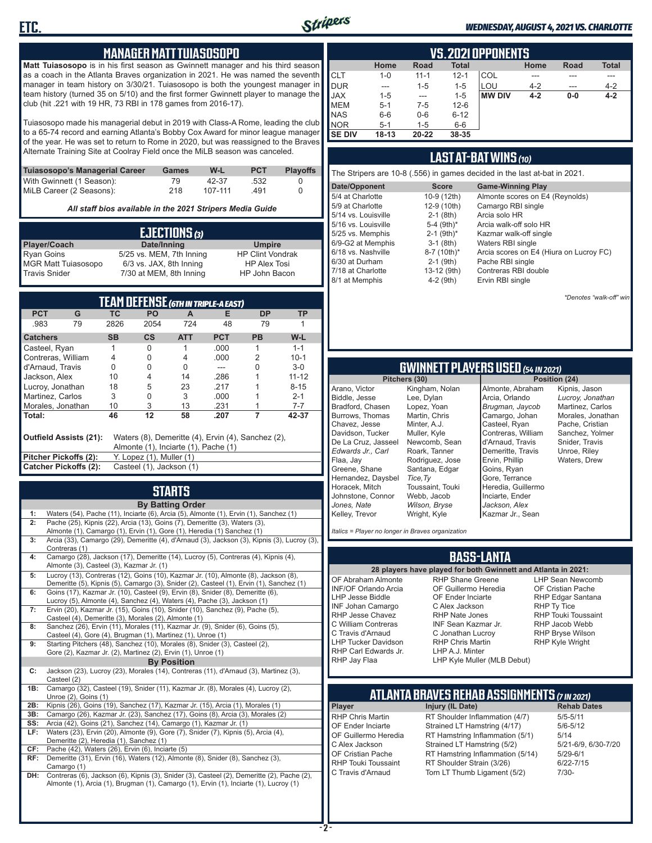

#### *WEDNESDAY, AUGUST 4, 2021 VS. CHARLOTTE*

#### **MANAGER MATT TUIASOSOPO**

**Matt Tuiasosopo** is in his first season as Gwinnett manager and his third season as a coach in the Atlanta Braves organization in 2021. He was named the seventh manager in team history on 3/30/21. Tuiasosopo is both the youngest manager in team history (turned 35 on 5/10) and the first former Gwinnett player to manage the club (hit .221 with 19 HR, 73 RBI in 178 games from 2016-17).

Tuiasosopo made his managerial debut in 2019 with Class-A Rome, leading the club to a 65-74 record and earning Atlanta's Bobby Cox Award for minor league manager of the year. He was set to return to Rome in 2020, but was reassigned to the Braves Alternate Training Site at Coolray Field once the MiLB season was canceled.

| Tuiasosopo's Managerial Career | Games | W-L     | <b>PCT</b> | <b>Plavoffs</b> |
|--------------------------------|-------|---------|------------|-----------------|
| With Gwinnett (1 Season):      | 79    | 42-37   | .532       |                 |
| MiLB Career (2 Seasons):       | 218   | 107-111 | 491        |                 |

*All staff bios available in the 2021 Stripers Media Guide*

| EJECTIONS (3)              |                          |                         |  |  |  |
|----------------------------|--------------------------|-------------------------|--|--|--|
| Player/Coach               | Date/Inning              | <b>Umpire</b>           |  |  |  |
| <b>Ryan Goins</b>          | 5/25 vs. MEM, 7th Inning | <b>HP Clint Vondrak</b> |  |  |  |
| <b>MGR Matt Tuiasosopo</b> | 6/3 vs. JAX, 8th Inning  | <b>HP Alex Tosi</b>     |  |  |  |
| <b>Travis Snider</b>       | 7/30 at MEM, 8th Inning  | HP John Bacon           |  |  |  |

| TEAM DEFENSE (6TH IN TRIPLE-A EAST)                                                                                  |                                                   |                          |           |            |            |           |           |
|----------------------------------------------------------------------------------------------------------------------|---------------------------------------------------|--------------------------|-----------|------------|------------|-----------|-----------|
| <b>PCT</b>                                                                                                           | G                                                 | ТC                       | <b>PO</b> | A          | Е          | <b>DP</b> | ΤP        |
| .983                                                                                                                 | 79                                                | 2826                     | 2054      | 724        | 48         | 79        |           |
| <b>Catchers</b>                                                                                                      |                                                   | <b>SB</b>                | CS        | <b>ATT</b> | <b>PCT</b> | <b>PB</b> | W-L       |
| Casteel, Ryan                                                                                                        |                                                   |                          | 0         |            | .000       |           | $1 - 1$   |
| Contreras, William                                                                                                   |                                                   | 4                        | 0         | 4          | .000       | 2         | $10 - 1$  |
| d'Arnaud, Travis                                                                                                     |                                                   | U                        | U         | U          |            | U         | $3-0$     |
| Jackson, Alex                                                                                                        |                                                   | 10                       | 4         | 14         | .286       |           | $11 - 12$ |
| Lucroy, Jonathan                                                                                                     |                                                   | 18                       | 5         | 23         | .217       |           | $8 - 15$  |
| Martinez. Carlos                                                                                                     |                                                   | 3                        | 0         | 3          | .000       |           | $2 - 1$   |
| Morales, Jonathan                                                                                                    |                                                   | 10                       | 3         | 13         | .231       |           | $7 - 7$   |
| l Total:                                                                                                             |                                                   | 46                       | 12        | 58         | .207       | 7         | 42-37     |
| Outfield Assists (21):<br>Waters (8), Demeritte (4), Ervin (4), Sanchez (2),<br>Almonte (1), Inciarte (1), Pache (1) |                                                   |                          |           |            |            |           |           |
| Pitcher Pickoffs (2):                                                                                                |                                                   | Y. Lopez (1), Muller (1) |           |            |            |           |           |
|                                                                                                                      | Catcher Pickoffs (2):<br>Casteel (1), Jackson (1) |                          |           |            |            |           |           |

## **STARTS**

|     | <b>By Batting Order</b>                                                                     |
|-----|---------------------------------------------------------------------------------------------|
| 1:  | Waters (54), Pache (11), Inciarte (6), Arcia (5), Almonte (1), Ervin (1), Sanchez (1)       |
| 2:  | Pache (25), Kipnis (22), Arcia (13), Goins (7), Demeritte (3), Waters (3),                  |
|     | Almonte (1), Camargo (1), Ervin (1), Gore (1), Heredia (1) Sanchez (1)                      |
| 3:  | Arcia (33), Camargo (29), Demeritte (4), d'Arnaud (3), Jackson (3), Kipnis (3), Lucroy (3), |
|     | Contreras (1)                                                                               |
| 4:  | Camargo (28), Jackson (17), Demeritte (14), Lucroy (5), Contreras (4), Kipnis (4),          |
|     | Almonte (3), Casteel (3), Kazmar Jr. (1)                                                    |
| 5:  | Lucroy (13), Contreras (12), Goins (10), Kazmar Jr. (10), Almonte (8), Jackson (8),         |
|     | Demeritte (5), Kipnis (5), Camargo (3), Snider (2), Casteel (1), Ervin (1), Sanchez (1)     |
| 6:  | Goins (17), Kazmar Jr. (10), Casteel (9), Ervin (8), Snider (8), Demeritte (6),             |
|     | Lucroy (5), Almonte (4), Sanchez (4), Waters (4), Pache (3), Jackson (1)                    |
| 7:  | Ervin (20), Kazmar Jr. (15), Goins (10), Snider (10), Sanchez (9), Pache (5),               |
|     | Casteel (4), Demeritte (3), Morales (2), Almonte (1)                                        |
| 8:  | Sanchez (26), Ervin (11), Morales (11), Kazmar Jr. (9), Snider (6), Goins (5),              |
|     | Casteel (4), Gore (4), Brugman (1), Martinez (1), Unroe (1)                                 |
| 9:  | Starting Pitchers (48), Sanchez (10), Morales (8), Snider (3), Casteel (2),                 |
|     | Gore (2), Kazmar Jr. (2), Martinez (2), Ervin (1), Unroe (1)                                |
|     | <b>By Position</b>                                                                          |
| C:  | Jackson (23), Lucroy (23), Morales (14), Contreras (11), d'Arnaud (3), Martinez (3),        |
|     | Casteel (2)                                                                                 |
| 1B: | Camargo (32), Casteel (19), Snider (11), Kazmar Jr. (8), Morales (4), Lucroy (2),           |
|     | Unroe $(2)$ , Goins $(1)$                                                                   |
| 2B: | Kipnis (26), Goins (19), Sanchez (17), Kazmar Jr. (15), Arcia (1), Morales (1)              |
| 3B: | Camargo (26), Kazmar Jr. (23), Sanchez (17), Goins (8), Arcia (3), Morales (2)              |
| SS: | Arcia (42), Goins (21), Sanchez (14), Camargo (1), Kazmar Jr. (1)                           |
| LF: | Waters (23), Ervin (20), Almonte (9), Gore (7), Snider (7), Kipnis (5), Arcia (4),          |
|     | Demeritte (2), Heredia (1), Sanchez (1)                                                     |
| CF: | Pache (42), Waters (26), Ervin (6), Inciarte (5)                                            |
| RF: | Demeritte (31), Ervin (16), Waters (12), Almonte (8), Snider (8), Sanchez (3),              |
|     | Camargo (1)                                                                                 |
| DH: | Contreras (6), Jackson (6), Kipnis (3), Snider (3), Casteel (2), Demeritte (2), Pache (2),  |
|     | Almonte (1), Arcia (1), Brugman (1), Camargo (1), Ervin (1), Inciarte (1), Lucroy (1)       |
|     |                                                                                             |
|     |                                                                                             |
|     |                                                                                             |

|               | VS.2021 OPPONENTS |          |              |               |         |             |              |  |  |  |  |  |  |
|---------------|-------------------|----------|--------------|---------------|---------|-------------|--------------|--|--|--|--|--|--|
|               | Home              | Road     | <b>Total</b> |               | Home    | <b>Road</b> | <b>Total</b> |  |  |  |  |  |  |
| <b>CLT</b>    | $1 - 0$           | $11 - 1$ | $12 - 1$     | COL           | ---     |             | ---          |  |  |  |  |  |  |
| DUR           | ---               | $1 - 5$  | $1 - 5$      | LOU           | $4 - 2$ | $---$       | $4 - 2$      |  |  |  |  |  |  |
| <b>JAX</b>    | $1 - 5$           | ---      | $1 - 5$      | <b>MW DIV</b> | $4 - 2$ | $0-0$       | $4 - 2$      |  |  |  |  |  |  |
| <b>MEM</b>    | $5 - 1$           | 7-5      | $12 - 6$     |               |         |             |              |  |  |  |  |  |  |
| <b>NAS</b>    | $6-6$             | $0-6$    | $6 - 12$     |               |         |             |              |  |  |  |  |  |  |
| <b>NOR</b>    | $5 - 1$           | $1 - 5$  | $6-6$        |               |         |             |              |  |  |  |  |  |  |
| <b>SE DIV</b> | $18 - 13$         | 20-22    | 38-35        |               |         |             |              |  |  |  |  |  |  |

### **LAST AT-BAT WINS** *(10)*

| The Stripers are 10-8 (.556) in games decided in the last at-bat in 2021. |                          |                                         |  |  |  |  |  |  |  |
|---------------------------------------------------------------------------|--------------------------|-----------------------------------------|--|--|--|--|--|--|--|
| Date/Opponent                                                             | <b>Score</b>             | <b>Game-Winning Play</b>                |  |  |  |  |  |  |  |
| 5/4 at Charlotte                                                          | 10-9 (12th)              | Almonte scores on E4 (Reynolds)         |  |  |  |  |  |  |  |
| 5/9 at Charlotte                                                          | 12-9 (10th)              | Camargo RBI single                      |  |  |  |  |  |  |  |
| 5/14 vs. Louisville                                                       | $2-1$ (8th)              | Arcia solo HR                           |  |  |  |  |  |  |  |
| 5/16 vs. Louisville                                                       | 5-4 (9th)*               | Arcia walk-off solo HR                  |  |  |  |  |  |  |  |
| 5/25 vs. Memphis                                                          | $2-1$ (9th) <sup>*</sup> | Kazmar walk-off single                  |  |  |  |  |  |  |  |
| 6/9-G2 at Memphis                                                         | $3-1$ (8th)              | Waters RBI single                       |  |  |  |  |  |  |  |
| 6/18 vs. Nashville                                                        | 8-7 (10th)*              | Arcia scores on E4 (Hiura on Lucroy FC) |  |  |  |  |  |  |  |
| 6/30 at Durham                                                            | $2-1$ (9th)              | Pache RBI single                        |  |  |  |  |  |  |  |
| 7/18 at Charlotte                                                         | 13-12 (9th)              | Contreras RBI double                    |  |  |  |  |  |  |  |
| 8/1 at Memphis                                                            | $4-2$ (9th)              | Ervin RBI single                        |  |  |  |  |  |  |  |

*\*Denotes "walk-off" win*

## **GWINNETT PLAYERS USED** *(54 IN 2021)*

**Pitchers (30)** Arano, Victor Biddle, Jesse Bradford, Chasen Burrows, Thomas Chavez, Jesse Davidson, Tucker De La Cruz, Jasseel *Edwards Jr., Carl* Flaa, Jay Greene, Shane Hernandez, Daysbel Horacek, Mitch Johnstone, Connor *Jones, Nate* Kelley, Trevor Lee, Dylan Minter, A.J. *Tice,Ty*

Kingham, Nolan Lopez, Yoan Martin, Chris Muller, Kyle Newcomb, Sean Roark, Tanner Rodriguez, Jose Santana, Edgar Toussaint, Touki Webb, Jacob *Wilson, Bryse* Wright, Kyle Almonte, Abraham Arcia, Orlando *Brugman, Jaycob* Camargo, Johan Casteel, Ryan Contreras, William d'Arnaud, Travis Demeritte, Travis Ervin, Phillip Goins, Ryan Gore, Terrance Heredia, Guillermo Inciarte, Ender *Jackson, Alex* Kazmar Jr., Sean

Kipnis, Jason *Lucroy, Jonathan* Martinez, Carlos Morales, Jonathan Pache, Cristian Sanchez, Yolmer Snider, Travis Unroe, Riley Waters, Drew

*Italics = Player no longer in Braves organization*

#### **BASS-LANTA**

OF Abraham Almonte INF/OF Orlando Arcia LHP Jesse Biddle INF Johan Camargo RHP Jesse Chavez C William Contreras C Travis d'Arnaud LHP Tucker Davidson RHP Carl Edwards Jr. RHP Jay Flaa

**28 players have played for both Gwinnett and Atlanta in 2021:** RHP Shane Greene OF Guillermo Heredia OF Ender Inciarte C Alex Jackson RHP Nate Jones INF Sean Kazmar Jr. C Jonathan Lucroy RHP Chris Martin LHP A.J. Minter

LHP Sean Newcomb OF Cristian Pache RHP Edgar Santana RHP Ty Tice RHP Touki Toussaint RHP Jacob Webb RHP Bryse Wilson RHP Kyle Wright

LHP Kyle Muller (MLB Debut)

## **ATLANTA BRAVES REHAB ASSIGNMENTS** *(7 IN 2021)*

**Player Injury (IL Date)** 

RHP Chris Martin RT Shoulder Inflammation (4/7) 5/5-5/11<br>CF Ender Inciarte Strained I T Hamstring (4/17) 5/6-5/12 OF Ender Inciarte Strained LT Hamstring (4/17) 5/6-5<br>OF Guillermo Heredia RT Hamstring Inflammation (5/1) 5/14 OF Guillermo Heredia RT Hamstring Inflammation (5/1) 5/14<br>C Alex Jackson Strained LT Hamstring (5/2) 5/21-6/9, 6/30-7/20 C Alex Jackson Strained LT Hamstring (5/2) 5/21-6/9<br>CF Cristian Pache RT Hamstring Inflammation (5/14) 5/29-6/1 OF Cristian Pache RT Hamstring Inflammation (5/14)<br>RHP Touki Toussaint RT Shoulder Strain (3/26) RHP Touki Toussaint RT Shoulder Strain (3/26) 6/22-7/15<br>C Travis d'Arnaud Torn LT Thumb Ligament (5/2) 7/30-Torn LT Thumb Ligament (5/2)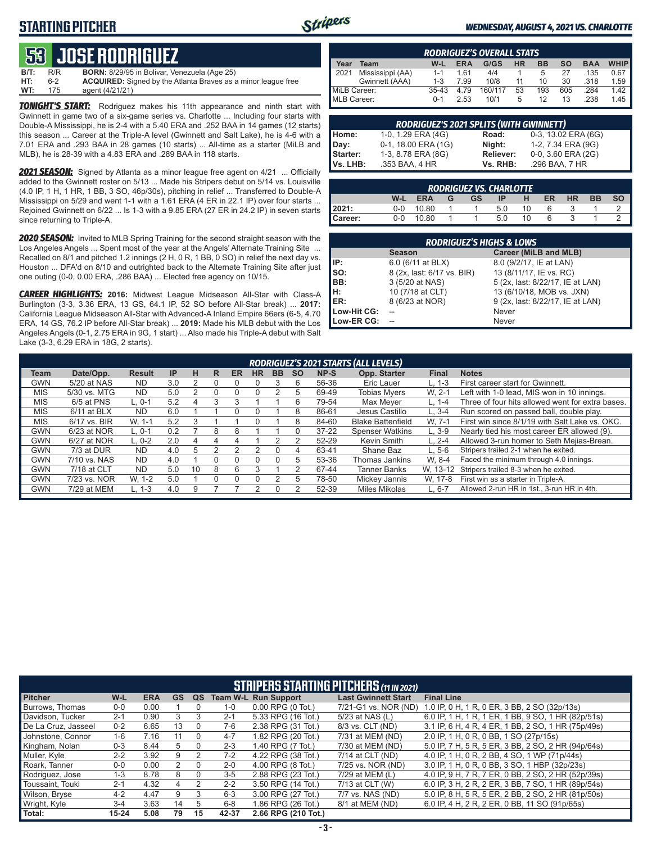## **STARTING PITCHER**



#### *WEDNESDAY, AUGUST 4, 2021 VS. CHARLOTTE*

## **53****JOSE RODRIGUEZ**

| B/T: | R/R | <b>BORN:</b> 8/29/95 in Bolivar, Venezuela (Age 25)                  |
|------|-----|----------------------------------------------------------------------|
| HT:  | հ-2 | <b>ACQUIRED:</b> Signed by the Atlanta Braves as a minor league free |
| WT:  | 175 | agent (4/21/21)                                                      |

*TONIGHT'S START:* Rodriguez makes his 11th appearance and ninth start with Gwinnett in game two of a six-game series vs. Charlotte ... Including four starts with Double-A Mississippi, he is 2-4 with a 5.40 ERA and .252 BAA in 14 games (12 starts) this season ... Career at the Triple-A level (Gwinnett and Salt Lake), he is 4-6 with a 7.01 ERA and .293 BAA in 28 games (10 starts) ... All-time as a starter (MiLB and MLB), he is 28-39 with a 4.83 ERA and .289 BAA in 118 starts.

*2021 SEASON:* Signed by Atlanta as a minor league free agent on 4/21 ... Officially added to the Gwinnett roster on 5/13 ... Made his Stripers debut on 5/14 vs. Louisville (4.0 IP, 1 H, 1 HR, 1 BB, 3 SO, 46p/30s), pitching in relief ... Transferred to Double-A Mississippi on 5/29 and went 1-1 with a 1.61 ERA (4 ER in 22.1 IP) over four starts ... Rejoined Gwinnett on 6/22 ... Is 1-3 with a 9.85 ERA (27 ER in 24.2 IP) in seven starts since returning to Triple-A.

*2020 SEASON:* Invited to MLB Spring Training for the second straight season with the Los Angeles Angels ... Spent most of the year at the Angels' Alternate Training Site ... Recalled on 8/1 and pitched 1.2 innings (2 H, 0 R, 1 BB, 0 SO) in relief the next day vs. Houston ... DFA'd on 8/10 and outrighted back to the Alternate Training Site after just one outing (0-0, 0.00 ERA, .286 BAA) ... Elected free agency on 10/15.

*CAREER HIGHLIGHTS:* **2016:** Midwest League Midseason All-Star with Class-A Burlington (3-3, 3.36 ERA, 13 GS, 64.1 IP, 52 SO before All-Star break) ... **2017:** California League Midseason All-Star with Advanced-A Inland Empire 66ers (6-5, 4.70 ERA, 14 GS, 76.2 IP before All-Star break) ... **2019:** Made his MLB debut with the Los Angeles Angels (0-1, 2.75 ERA in 9G, 1 start) ... Also made his Triple-A debut with Salt Lake (3-3, 6.29 ERA in 18G, 2 starts).

|              | <b>RODRIGUEZ'S OVERALL STATS</b> |         |            |         |           |           |     |            |             |  |  |  |  |
|--------------|----------------------------------|---------|------------|---------|-----------|-----------|-----|------------|-------------|--|--|--|--|
| Year         | Team                             | W-L     | <b>ERA</b> | G/GS    | <b>HR</b> | <b>BB</b> | so  | <b>BAA</b> | <b>WHIP</b> |  |  |  |  |
| 2021         | Mississippi (AA)                 | $1 - 1$ | 161        | 4/4     |           | 5         | 27  | .135       | 0.67        |  |  |  |  |
|              | Gwinnett (AAA)                   | 1-3     | 7.99       | 10/8    | 11        | 10        | 30  | .318       | 1.59        |  |  |  |  |
| MiLB Career: |                                  | $35-43$ | 4.79       | 160/117 | 53        | 193       | 605 | .284       | 1.42        |  |  |  |  |
| MLB Career:  |                                  | $0 - 1$ | 2.53       | 10/1    | 5         | 12        | 13  | .238       | 1.45        |  |  |  |  |

| <b>RODRIGUEZ'S 2021 SPLITS (WITH GWINNETT)</b> |                     |                  |                     |  |  |  |  |  |  |  |
|------------------------------------------------|---------------------|------------------|---------------------|--|--|--|--|--|--|--|
| Home:                                          | 1-0, 1.29 ERA (4G)  | Road:            | 0-3, 13.02 ERA (6G) |  |  |  |  |  |  |  |
| Day:                                           | 0-1, 18.00 ERA (1G) | Night:           | 1-2, 7.34 ERA (9G)  |  |  |  |  |  |  |  |
| Starter:                                       | 1-3, 8.78 ERA (8G)  | <b>Reliever:</b> | 0-0, 3.60 ERA (2G)  |  |  |  |  |  |  |  |
| Vs. LHB:                                       | .353 BAA, 4 HR      | Vs. RHB:         | .296 BAA, 7 HR      |  |  |  |  |  |  |  |

| <b>RODRIGUEZ VS. CHARLOTTE</b> |         |            |   |           |     |     |           |           |           |           |  |  |  |
|--------------------------------|---------|------------|---|-----------|-----|-----|-----------|-----------|-----------|-----------|--|--|--|
|                                | W-L     | <b>ERA</b> | G | <b>GS</b> | IP. | н   | <b>ER</b> | <b>HR</b> | <b>BB</b> | <b>SO</b> |  |  |  |
| 2021:                          | $0 - 0$ | 10.80      |   |           | 5.0 | 10. |           |           |           |           |  |  |  |
| Career:                        | $0-0$   | 10.80      |   |           | 5.0 | 10  |           |           |           |           |  |  |  |

| <b>RODRIGUEZ'S HIGHS &amp; LOWS</b> |                            |                                  |  |  |  |  |  |  |  |  |  |
|-------------------------------------|----------------------------|----------------------------------|--|--|--|--|--|--|--|--|--|
|                                     | <b>Season</b>              | <b>Career (MiLB and MLB)</b>     |  |  |  |  |  |  |  |  |  |
| IP:                                 | 6.0 (6/11 at BLX)          | 8.0 (9/2/17, IE at LAN)          |  |  |  |  |  |  |  |  |  |
| so:                                 | 8 (2x, last: 6/17 vs. BIR) | 13 (8/11/17, IE vs. RC)          |  |  |  |  |  |  |  |  |  |
| BB:                                 | 3 (5/20 at NAS)            | 5 (2x, last: 8/22/17, IE at LAN) |  |  |  |  |  |  |  |  |  |
| H:                                  | 10 (7/18 at CLT)           | 13 (6/10/18, MOB vs. JXN)        |  |  |  |  |  |  |  |  |  |
| ER:                                 | 8 (6/23 at NOR)            | 9 (2x, last: 8/22/17, IE at LAN) |  |  |  |  |  |  |  |  |  |
| Low-Hit CG:                         |                            | Never                            |  |  |  |  |  |  |  |  |  |
| Low-ER CG:                          |                            | Never                            |  |  |  |  |  |  |  |  |  |

|            | RODRIGUEZ'S 2021 STARTS (ALL LEVELS) |               |           |    |    |           |           |           |           |           |                          |              |                                                  |
|------------|--------------------------------------|---------------|-----------|----|----|-----------|-----------|-----------|-----------|-----------|--------------------------|--------------|--------------------------------------------------|
| Team       | Date/Opp.                            | <b>Result</b> | <b>IP</b> | н  | R. | <b>ER</b> | <b>HR</b> | <b>BB</b> | <b>SO</b> | NP-S      | Opp. Starter             | <b>Final</b> | <b>Notes</b>                                     |
| GWN        | 5/20 at NAS                          | <b>ND</b>     | 3.0       | 2  |    |           |           |           | 6         | 56-36     | Eric Lauer               | $L. 1-3$     | First career start for Gwinnett.                 |
| <b>MIS</b> | 5/30 vs. MTG                         | <b>ND</b>     | 5.0       |    |    |           |           |           | 5         | 69-49     | <b>Tobias Mvers</b>      | W. 2-1       | Left with 1-0 lead. MIS won in 10 innings.       |
| <b>MIS</b> | 6/5 at PNS                           | L. 0-1        | 5.2       | 4  | 3  |           |           |           | 6         | 79-54     | Max Mever                | L. 1-4       | Three of four hits allowed went for extra bases. |
| <b>MIS</b> | $6/11$ at BLX                        | <b>ND</b>     | 6.0       |    |    |           |           |           | 8         | 86-61     | Jesus Castillo           | $L.3 - 4$    | Run scored on passed ball, double play.          |
| <b>MIS</b> | 6/17 vs. BIR                         | W. 1-1        | 5.2       | 3  |    |           |           |           | 8         | 84-60     | <b>Blake Battenfield</b> | W. 7-1       | First win since 8/1/19 with Salt Lake vs. OKC.   |
| GWN        | 6/23 at NOR                          | L. 0-1        | 0.2       |    | 8  | 8         |           |           | 0         | $37 - 22$ | <b>Spenser Watkins</b>   | $L.3-9$      | Nearly tied his most career ER allowed (9).      |
| GWN        | 6/27 at NOR                          | $L. 0-2$      | 2.0       | 4  |    |           |           |           |           | 52-29     | Kevin Smith              | $L. 2 - 4$   | Allowed 3-run homer to Seth Mejias-Brean.        |
| GWN        | 7/3 at DUR                           | <b>ND</b>     | 4.0       | 5  |    |           | っ         |           | 4         | 63-41     | Shane Baz                | $L.5-6$      | Stripers trailed 2-1 when he exited.             |
| GWN        | 7/10 vs. NAS                         | <b>ND</b>     | 4.0       |    |    |           |           |           | 5         | 53-36     | Thomas Jankins           | W. 8-4       | Faced the minimum through 4.0 innings.           |
| GWN        | 7/18 at CLT                          | <b>ND</b>     | 5.0       | 10 | 8  | 6         | 3         |           | っ         | 67-44     | <b>Tanner Banks</b>      | W. 13-12     | Stripers trailed 8-3 when he exited.             |
| GWN        | 7/23 vs. NOR                         | W. 1-2        | 5.0       |    |    |           |           |           | 5         | 78-50     | Mickey Jannis            | W. 17-8      | First win as a starter in Triple-A.              |
| GWN        | 7/29 at MEM                          | $L. 1-3$      | 4.0       | 9  |    |           |           |           |           | 52-39     | Miles Mikolas            | $L, 6-7$     | Allowed 2-run HR in 1st., 3-run HR in 4th.       |
|            |                                      |               |           |    |    |           |           |           |           |           |                          |              |                                                  |

|                     | <b>STRIPERS STARTING PITCHERS (11 IN 2021)</b> |            |           |          |         |                             |                            |                                                    |  |  |  |  |
|---------------------|------------------------------------------------|------------|-----------|----------|---------|-----------------------------|----------------------------|----------------------------------------------------|--|--|--|--|
| <b>Pitcher</b>      | W-L                                            | <b>ERA</b> | <b>GS</b> | QS       |         | <b>Team W-L Run Support</b> | <b>Last Gwinnett Start</b> | <b>Final Line</b>                                  |  |  |  |  |
| Burrows, Thomas     | $0 - 0$                                        | 0.00       |           |          | $1 - 0$ | $0.00$ RPG $(0$ Tot.)       | 7/21-G1 vs. NOR (ND)       | 1.0 IP, 0 H, 1 R, 0 ER, 3 BB, 2 SO (32p/13s)       |  |  |  |  |
| Davidson, Tucker    | $2 - 1$                                        | 0.90       |           |          | $2 - 1$ | 5.33 RPG (16 Tot.)          | 5/23 at NAS (L)            | 6.0 IP, 1 H, 1 R, 1 ER, 1 BB, 9 SO, 1 HR (82p/51s) |  |  |  |  |
| De La Cruz. Jasseel | $0 - 2$                                        | 6.65       | 13        |          | $7-6$   | 2.38 RPG (31 Tot.)          | 8/3 vs. CLT (ND)           | 3.1 IP, 6 H, 4 R, 4 ER, 1 BB, 2 SO, 1 HR (75p/49s) |  |  |  |  |
| Johnstone, Connor   | $1 - 6$                                        | 7.16       | 11        |          | $4 - 7$ | 1.82 RPG (20 Tot.)          | 7/31 at MEM (ND)           | 2.0 IP, 1 H, 0 R, 0 BB, 1 SO (27p/15s)             |  |  |  |  |
| Kingham, Nolan      | $0 - 3$                                        | 8.44       |           |          | $2 - 3$ | 1.40 RPG (7 Tot.)           | 7/30 at MEM (ND)           | 5.0 IP, 7 H, 5 R, 5 ER, 3 BB, 2 SO, 2 HR (94p/64s) |  |  |  |  |
| Muller, Kyle        | $2 - 2$                                        | 3.92       | 9         |          | $7-2$   | 4.22 RPG (38 Tot.)          | 7/14 at CLT (ND)           | 4.0 IP, 1 H, 0 R, 2 BB, 4 SO, 1 WP (71p/44s)       |  |  |  |  |
| Roark, Tanner       | $0-0$                                          | 0.00       | 2         | $\Omega$ | $2 - 0$ | 4.00 RPG (8 Tot.)           | 7/25 vs. NOR (ND)          | 3.0 IP, 1 H, 0 R, 0 BB, 3 SO, 1 HBP (32p/23s)      |  |  |  |  |
| Rodriguez, Jose     | $1 - 3$                                        | 8.78       | 8         |          | $3-5$   | 2.88 RPG (23 Tot.)          | 7/29 at MEM (L)            | 4.0 IP, 9 H, 7 R, 7 ER, 0 BB, 2 SO, 2 HR (52p/39s) |  |  |  |  |
| Toussaint. Touki    | $2 - 1$                                        | 4.32       | 4         | 2        | $2 - 2$ | 3.50 RPG (14 Tot.)          | 7/13 at CLT (W)            | 6.0 IP. 3 H. 2 R. 2 ER. 3 BB. 7 SO. 1 HR (89p/54s) |  |  |  |  |
| Wilson, Bryse       | $4 - 2$                                        | 4.47       | 9         | 3        | $6 - 3$ | 3.00 RPG (27 Tot.)          | 7/7 vs. NAS (ND)           | 5.0 IP, 8 H, 5 R, 5 ER, 2 BB, 2 SO, 2 HR (81p/50s) |  |  |  |  |
| Wright, Kyle        | $3 - 4$                                        | 3.63       | 14        | 5.       | $6 - 8$ | 1.86 RPG (26 Tot.)          | 8/1 at MEM (ND)            | 6.0 IP, 4 H, 2 R, 2 ER, 0 BB, 11 SO (91p/65s)      |  |  |  |  |
| Total:              | $15 - 24$                                      | 5.08       | 79        | 15       | 42-37   | 2.66 RPG (210 Tot.)         |                            |                                                    |  |  |  |  |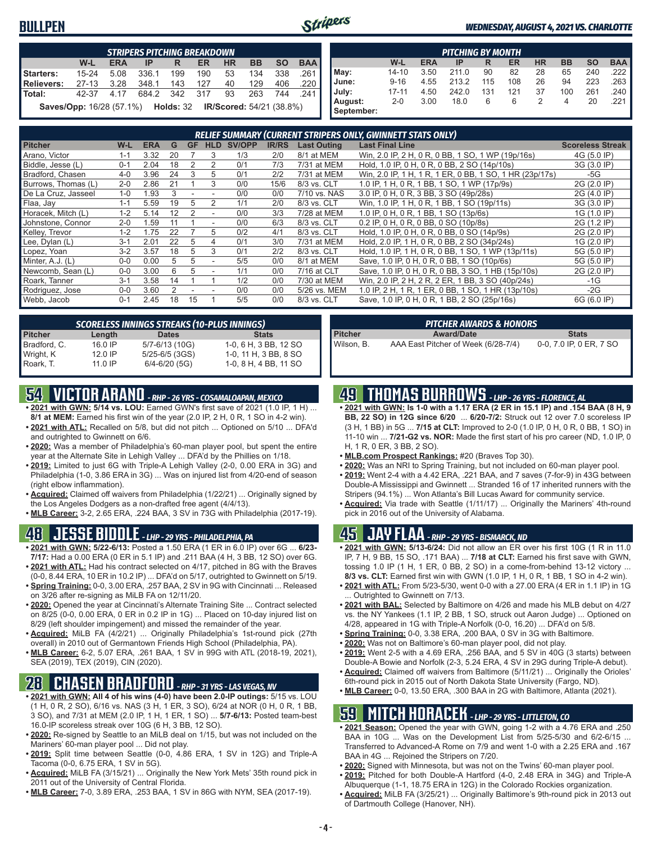### **BULLPEN**



#### *WEDNESDAY, AUGUST 4, 2021 VS. CHARLOTTE*

|                                                                            | <b>STRIPERS PITCHING BREAKDOWN</b> |            |       |       |           |           |           |           |            |  |  |  |  |
|----------------------------------------------------------------------------|------------------------------------|------------|-------|-------|-----------|-----------|-----------|-----------|------------|--|--|--|--|
|                                                                            | W-L                                | <b>ERA</b> | IP    | R     | <b>ER</b> | <b>HR</b> | <b>BB</b> | <b>SO</b> | <b>BAA</b> |  |  |  |  |
| Starters:                                                                  | $15 - 24$                          | 5.08       | 336.1 | 199   | 190       | 53        | 134       | 338       | .261 l     |  |  |  |  |
| <b>Relievers:</b>                                                          | $27 - 13$                          | 3.28       | 348.1 | 143   | 127       | 40        | 129       | 406       | .220       |  |  |  |  |
| Total:                                                                     | 42-37                              | 4 17       | 684.2 | - 342 | 317       | 93        | 263       | 744       | -241       |  |  |  |  |
| <b>Saves/Opp:</b> 16/28 (57.1%)  Holds: 32 <b>IR/Scored:</b> 54/21 (38.8%) |                                    |            |       |       |           |           |           |           |            |  |  |  |  |

|            | <b>PITCHING BY MONTH</b> |            |       |     |     |           |           |           |            |  |  |  |  |
|------------|--------------------------|------------|-------|-----|-----|-----------|-----------|-----------|------------|--|--|--|--|
|            | W-L                      | <b>ERA</b> | IP    | R   | ER  | <b>HR</b> | <b>BB</b> | <b>SO</b> | <b>BAA</b> |  |  |  |  |
| May:       | 14-10                    | 3.50       | 211.0 | 90  | 82  | 28        | 65        | 240       | .222 I     |  |  |  |  |
| June:      | $9 - 16$                 | 4.55       | 213.2 | 115 | 108 | 26        | 94        | 223       | .263       |  |  |  |  |
| July:      | $17 - 11$                | 4.50       | 242.0 | 131 | 121 | 37        | 100       | 261       | .240 I     |  |  |  |  |
| August:    | $2 - 0$                  | 3.00       | 18.0  | 6   | 6   | 2         | 4         | 20        | .221       |  |  |  |  |
| September: |                          |            |       |     |     |           |           |           |            |  |  |  |  |

| <b>RELIEF SUMMARY (CURRENT STRIPERS ONLY, GWINNETT STATS ONLY)</b> |         |            |    |           |            |               |              |                    |                                                         |                         |
|--------------------------------------------------------------------|---------|------------|----|-----------|------------|---------------|--------------|--------------------|---------------------------------------------------------|-------------------------|
| <b>Pitcher</b>                                                     | W-L     | <b>ERA</b> | G  | <b>GF</b> | <b>HLD</b> | <b>SV/OPP</b> | <b>IR/RS</b> | <b>Last Outing</b> | <b>Last Final Line</b>                                  | <b>Scoreless Streak</b> |
| Arano, Victor                                                      | 1-1     | 3.32       | 20 |           | 3          | 1/3           | 2/0          | 8/1 at MEM         | Win, 2.0 IP, 2 H, 0 R, 0 BB, 1 SO, 1 WP (19p/16s)       | 4G (5.0 IP)             |
| Biddle, Jesse (L)                                                  | $0 - 1$ | 2.04       | 18 |           |            | 0/1           | 7/3          | 7/31 at MEM        | Hold, 1.0 IP, 0 H, 0 R, 0 BB, 2 SO (14p/10s)            | 3G (3.0 IP)             |
| Bradford, Chasen                                                   | 4-0     | 3.96       | 24 | 3         | 5          | 0/1           | 2/2          | 7/31 at MEM        | Win, 2.0 IP, 1 H, 1 R, 1 ER, 0 BB, 1 SO, 1 HR (23p/17s) | -5G                     |
| Burrows, Thomas (L)                                                | $2 - 0$ | 2.86       | 21 |           |            | 0/0           | 15/6         | 8/3 vs. CLT        | 1.0 IP, 1 H, 0 R, 1 BB, 1 SO, 1 WP (17p/9s)             | 2G (2.0 IP)             |
| De La Cruz, Jasseel                                                | $1 - 0$ | 1.93       |    |           |            | 0/0           | 0/0          | 7/10 vs. NAS       | 3.0 IP, 0 H, 0 R, 3 BB, 3 SO (49p/28s)                  | 2G (4.0 IP)             |
| Flaa, Jay                                                          | $1 - 1$ | 5.59       | 19 | 5         | 2          | 1/1           | 2/0          | 8/3 vs. CLT        | Win, 1.0 IP, 1 H, 0 R, 1 BB, 1 SO (19p/11s)             | 3G (3.0 IP)             |
| Horacek, Mitch (L)                                                 | $1 - 2$ | 5.14       | 12 |           |            | 0/0           | 3/3          | 7/28 at MEM        | 1.0 IP, 0 H, 0 R, 1 BB, 1 SO (13p/6s)                   | 1G (1.0 IP)             |
| Johnstone, Connor                                                  | $2 - 0$ | .59        |    |           |            | 0/0           | 6/3          | 8/3 vs. CLT        | 0.2 IP, 0 H, 0 R, 0 BB, 0 SO (10p/8s)                   | 2G (1.2 IP)             |
| Kelley, Trevor                                                     | $1 - 2$ | 1.75       | 22 |           | 5          | 0/2           | 4/1          | 8/3 vs. CLT        | Hold, 1.0 IP, 0 H, 0 R, 0 BB, 0 SO (14p/9s)             | 2G (2.0 IP)             |
| Lee, Dylan (L)                                                     | $3 - 1$ | 2.01       | 22 | 5         | 4          | 0/1           | 3/0          | 7/31 at MEM        | Hold, 2.0 IP, 1 H, 0 R, 0 BB, 2 SO (34p/24s)            | 1G (2.0 IP)             |
| Lopez, Yoan                                                        | $3-2$   | 3.57       | 18 | 5         | 3          | 0/1           | 2/2          | 8/3 vs. CLT        | Hold, 1.0 IP, 1 H, 0 R, 0 BB, 1 SO, 1 WP (13p/11s)      | 5G (5.0 IP)             |
| Minter, A.J. (L)                                                   | $0 - 0$ | 0.00       |    | 5         |            | 5/5           | 0/0          | 8/1 at MEM         | Save, 1.0 IP, 0 H, 0 R, 0 BB, 1 SO (10p/6s)             | 5G (5.0 IP)             |
| Newcomb, Sean (L)                                                  | $0 - 0$ | 3.00       | հ  | 5         |            | 1/1           | 0/0          | 7/16 at CLT        | Save, 1.0 IP, 0 H, 0 R, 0 BB, 3 SO, 1 HB (15p/10s)      | 2G (2.0 IP)             |
| Roark, Tanner                                                      | $3 - 1$ | 3.58       | 14 |           |            | 1/2           | 0/0          | 7/30 at MEM        | Win, 2.0 IP, 2 H, 2 R, 2 ER, 1 BB, 3 SO (40p/24s)       | $-1G$                   |
| Rodriguez, Jose                                                    | $0 - 0$ | 3.60       |    |           |            | 0/0           | 0/0          | 5/26 vs. MEM       | 1.0 IP, 2 H, 1 R, 1 ER, 0 BB, 1 SO, 1 HR (13p/10s)      | $-2G$                   |
| Webb, Jacob                                                        | $0 - 1$ | 2.45       | 18 | 15        |            | 5/5           | 0/0          | 8/3 vs. CLT        | Save, 1.0 IP, 0 H, 0 R, 1 BB, 2 SO (25p/16s)            | 6G (6.0 IP)             |

| <b>SCORELESS INNINGS STREAKS (10-PLUS INNINGS)</b> |           |                   |                       |  |  |  |  |  |
|----------------------------------------------------|-----------|-------------------|-----------------------|--|--|--|--|--|
| <b>Pitcher</b>                                     | Length    | <b>Dates</b>      | <b>Stats</b>          |  |  |  |  |  |
| Bradford, C.                                       | 16.0 IP   | 5/7-6/13 (10G)    | 1-0, 6 H, 3 BB, 12 SO |  |  |  |  |  |
| Wright, K                                          | 12.0 IP   | 5/25-6/5 (3GS)    | 1-0, 11 H, 3 BB, 8 SO |  |  |  |  |  |
| Roark, T.                                          | $11.0$ IP | $6/4 - 6/20$ (5G) | 1-0, 8 H, 4 BB, 11 SO |  |  |  |  |  |

## **54 VICTOR ARANO** *- RHP - 26 YRS - COSAMALOAPAN, MEXICO*

- **• 2021 with GWN: 5/14 vs. LOU:** Earned GWN's first save of 2021 (1.0 IP, 1 H) ... **8/1 at MEM:** Earned his first win of the year (2.0 IP, 2 H, 0 R, 1 SO in 4-2 win).
- **• 2021 with ATL:** Recalled on 5/8, but did not pitch ... Optioned on 5/10 ... DFA'd and outrighted to Gwinnett on 6/6.
- **• 2020:** Was a member of Philadelphia's 60-man player pool, but spent the entire year at the Alternate Site in Lehigh Valley ... DFA'd by the Phillies on 1/18.
- **• 2019:** Limited to just 6G with Triple-A Lehigh Valley (2-0, 0.00 ERA in 3G) and Philadelphia (1-0, 3.86 ERA in 3G) ... Was on injured list from 4/20-end of season (right elbow inflammation).
- **• Acquired:** Claimed off waivers from Philadelphia (1/22/21) ... Originally signed by the Los Angeles Dodgers as a non-drafted free agent (4/4/13).
- **• MLB Career:** 3-2, 2.65 ERA, .224 BAA, 3 SV in 73G with Philadelphia (2017-19).

### **48 JESSE BIDDLE** *- LHP - 29 YRS - PHILADELPHIA, PA*

- **• 2021 with GWN: 5/22-6/13:** Posted a 1.50 ERA (1 ER in 6.0 IP) over 6G ... **6/23- 7/17:** Had a 0.00 ERA (0 ER in 5.1 IP) and .211 BAA (4 H, 3 BB, 12 SO) over 6G.
- **• 2021 with ATL:** Had his contract selected on 4/17, pitched in 8G with the Braves (0-0, 8.44 ERA, 10 ER in 10.2 IP) ... DFA'd on 5/17, outrighted to Gwinnett on 5/19.
- **• Spring Training:** 0-0, 3.00 ERA, .257 BAA, 2 SV in 9G with Cincinnati ... Released on 3/26 after re-signing as MiLB FA on 12/11/20.
- **• 2020:** Opened the year at Cincinnati's Alternate Training Site ... Contract selected on 8/25 (0-0, 0.00 ERA, 0 ER in 0.2 IP in 1G) ... Placed on 10-day injured list on 8/29 (left shoulder impingement) and missed the remainder of the year.
- **• Acquired:** MiLB FA (4/2/21) ... Originally Philadelphia's 1st-round pick (27th overall) in 2010 out of Germantown Friends High School (Philadelphia, PA).
- **• MLB Career:** 6-2, 5.07 ERA, .261 BAA, 1 SV in 99G with ATL (2018-19, 2021), SEA (2019), TEX (2019), CIN (2020).

## **28 CHASEN BRADFORD** *- RHP - 31 YRS - LAS VEGAS, NV*

- **• 2021 with GWN: All 4 of his wins (4-0) have been 2.0-IP outings:** 5/15 vs. LOU (1 H, 0 R, 2 SO), 6/16 vs. NAS (3 H, 1 ER, 3 SO), 6/24 at NOR (0 H, 0 R, 1 BB, 3 SO), and 7/31 at MEM (2.0 IP, 1 H, 1 ER, 1 SO) ... **5/7-6/13:** Posted team-best 16.0-IP scoreless streak over 10G (6 H, 3 BB, 12 SO).
- **• 2020:** Re-signed by Seattle to an MiLB deal on 1/15, but was not included on the Mariners' 60-man player pool ... Did not play.
- **• 2019:** Split time between Seattle (0-0, 4.86 ERA, 1 SV in 12G) and Triple-A Tacoma (0-0, 6.75 ERA, 1 SV in 5G).
- **• Acquired:** MiLB FA (3/15/21) ... Originally the New York Mets' 35th round pick in 2011 out of the University of Central Florida.
- **• MLB Career:** 7-0, 3.89 ERA, .253 BAA, 1 SV in 86G with NYM, SEA (2017-19).

| <b>PITCHER AWARDS &amp; HONORS</b> |                                     |                         |  |  |  |  |  |
|------------------------------------|-------------------------------------|-------------------------|--|--|--|--|--|
| <b>Pitcher</b>                     | <b>Award/Date</b>                   | <b>Stats</b>            |  |  |  |  |  |
| Wilson. B.                         | AAA East Pitcher of Week (6/28-7/4) | 0-0, 7.0 IP, 0 ER, 7 SO |  |  |  |  |  |

## **49 THOMAS BURROWS** *- LHP - 26 YRS - FLORENCE, AL*

- **• 2021 with GWN: Is 1-0 with a 1.17 ERA (2 ER in 15.1 IP) and .154 BAA (8 H, 9 BB, 22 SO) in 12G since 6/20** ... **6/20-7/2:** Struck out 12 over 7.0 scoreless IP (3 H, 1 BB) in 5G ... **7/15 at CLT:** Improved to 2-0 (1.0 IP, 0 H, 0 R, 0 BB, 1 SO) in 11-10 win ... **7/21-G2 vs. NOR:** Made the first start of his pro career (ND, 1.0 IP, 0 H, 1 R, 0 ER, 3 BB, 2 SO).
- **• MLB.com Prospect Rankings:** #20 (Braves Top 30).
- **• 2020:** Was an NRI to Spring Training, but not included on 60-man player pool.
- **• 2019:** Went 2-4 with a 4.42 ERA, .221 BAA, and 7 saves (7-for-9) in 43G between Double-A Mississippi and Gwinnett ... Stranded 16 of 17 inherited runners with the Stripers (94.1%) ... Won Atlanta's Bill Lucas Award for community service.
- **• Acquired:** Via trade with Seattle (1/11/17) ... Originally the Mariners' 4th-round pick in 2016 out of the University of Alabama.

### **45 JAY FLAA** *- RHP - 29 YRS - BISMARCK, ND*

- **• 2021 with GWN: 5/13-6/24:** Did not allow an ER over his first 10G (1 R in 11.0 IP, 7 H, 9 BB, 15 SO, .171 BAA) ... **7/18 at CLT:** Earned his first save with GWN, tossing 1.0 IP (1 H, 1 ER, 0 BB, 2 SO) in a come-from-behind 13-12 victory ... **8/3 vs. CLT:** Earned first win with GWN (1.0 IP, 1 H, 0 R, 1 BB, 1 SO in 4-2 win).
- **• 2021 with ATL:** From 5/23-5/30, went 0-0 with a 27.00 ERA (4 ER in 1.1 IP) in 1G Outrighted to Gwinnett on 7/13.
- **• 2021 with BAL:** Selected by Baltimore on 4/26 and made his MLB debut on 4/27 vs. the NY Yankees (1.1 IP, 2 BB, 1 SO, struck out Aaron Judge) ... Optioned on 4/28, appeared in 1G with Triple-A Norfolk (0-0, 16.20) ... DFA'd on 5/8.
- **• Spring Training:** 0-0, 3.38 ERA, .200 BAA, 0 SV in 3G with Baltimore.
- **• 2020:** Was not on Baltimore's 60-man player pool, did not play.
- **• 2019:** Went 2-5 with a 4.69 ERA, .256 BAA, and 5 SV in 40G (3 starts) between Double-A Bowie and Norfolk (2-3, 5.24 ERA, 4 SV in 29G during Triple-A debut). **• Acquired:** Claimed off waivers from Baltimore (5/11/21) ... Originally the Orioles'
- 6th-round pick in 2015 out of North Dakota State University (Fargo, ND).
- **• MLB Career:** 0-0, 13.50 ERA, .300 BAA in 2G with Baltimore, Atlanta (2021).

### **59 MITCH HORACEK** *- LHP - 29 YRS - LITTLETON, CO*

- **• 2021 Season:** Opened the year with GWN, going 1-2 with a 4.76 ERA and .250 BAA in 10G ... Was on the Development List from 5/25-5/30 and 6/2-6/15 ... Transferred to Advanced-A Rome on 7/9 and went 1-0 with a 2.25 ERA and .167 BAA in 4G ... Rejoined the Stripers on 7/20.
- **• 2020:** Signed with Minnesota, but was not on the Twins' 60-man player pool.
- **• 2019:** Pitched for both Double-A Hartford (4-0, 2.48 ERA in 34G) and Triple-A Albuquerque (1-1, 18.75 ERA in 12G) in the Colorado Rockies organization.
- **• Acquired:** MiLB FA (3/25/21) ... Originally Baltimore's 9th-round pick in 2013 out of Dartmouth College (Hanover, NH).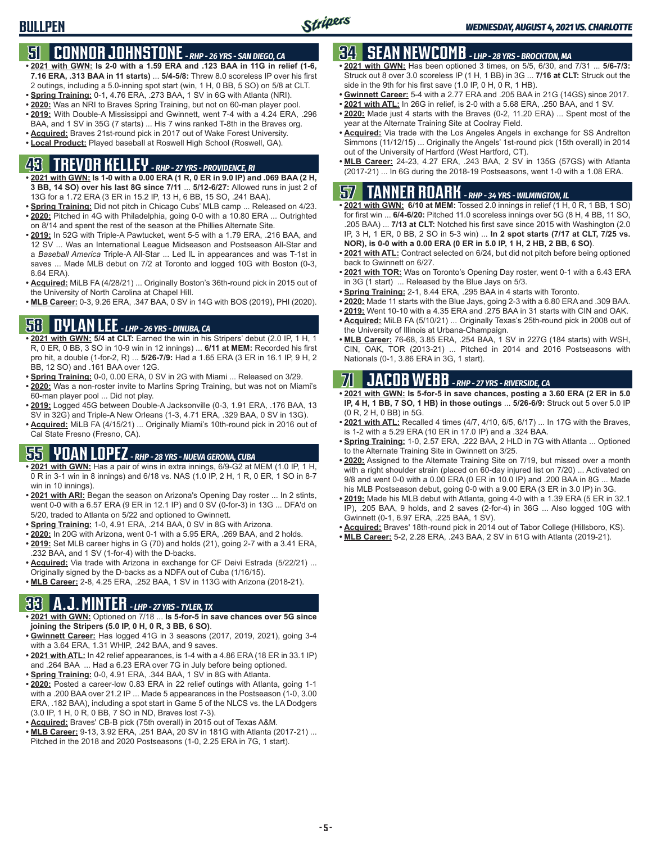## **51 CONNOR JOHNSTONE** *- RHP - 26 YRS - SAN DIEGO, CA*

- **• 2021 with GWN: Is 2-0 with a 1.59 ERA and .123 BAA in 11G in relief (1-6, 7.16 ERA, .313 BAA in 11 starts)** ... **5/4-5/8:** Threw 8.0 scoreless IP over his first 2 outings, including a 5.0-inning spot start (win, 1 H, 0 BB, 5 SO) on 5/8 at CLT.
- **• Spring Training:** 0-1, 4.76 ERA, .273 BAA, 1 SV in 6G with Atlanta (NRI).
- **• 2020:** Was an NRI to Braves Spring Training, but not on 60-man player pool.
- **• 2019:** With Double-A Mississippi and Gwinnett, went 7-4 with a 4.24 ERA, .296 BAA, and 1 SV in 35G (7 starts) ... His 7 wins ranked T-8th in the Braves org.
- **• Acquired:** Braves 21st-round pick in 2017 out of Wake Forest University.
- **• Local Product:** Played baseball at Roswell High School (Roswell, GA).

## **43 TREVOR KELLEY** *- RHP - 27 YRS - PROVIDENCE, RI*

- **• 2021 with GWN: Is 1-0 with a 0.00 ERA (1 R, 0 ER in 9.0 IP) and .069 BAA (2 H, 3 BB, 14 SO) over his last 8G since 7/11** ... **5/12-6/27:** Allowed runs in just 2 of 13G for a 1.72 ERA (3 ER in 15.2 IP, 13 H, 6 BB, 15 SO, .241 BAA).
- **• Spring Training:** Did not pitch in Chicago Cubs' MLB camp ... Released on 4/23. **• 2020:** Pitched in 4G with Philadelphia, going 0-0 with a 10.80 ERA ... Outrighted on 8/14 and spent the rest of the season at the Phillies Alternate Site.
- **• 2019:** In 52G with Triple-A Pawtucket, went 5-5 with a 1.79 ERA, .216 BAA, and 12 SV ... Was an International League Midseason and Postseason All-Star and a *Baseball America* Triple-A All-Star ... Led IL in appearances and was T-1st in saves ... Made MLB debut on 7/2 at Toronto and logged 10G with Boston (0-3, 8.64 ERA).
- **• Acquired:** MiLB FA (4/28/21) ... Originally Boston's 36th-round pick in 2015 out of the University of North Carolina at Chapel Hill.
- **• MLB Career:** 0-3, 9.26 ERA, .347 BAA, 0 SV in 14G with BOS (2019), PHI (2020).

### **58 DYLAN LEE** *- LHP - 26 YRS - DINUBA, CA*

- **• 2021 with GWN: 5/4 at CLT:** Earned the win in his Stripers' debut (2.0 IP, 1 H, 1 R, 0 ER, 0 BB, 3 SO in 10-9 win in 12 innings) ... **6/11 at MEM:** Recorded his first pro hit, a double (1-for-2, R) ... **5/26-7/9:** Had a 1.65 ERA (3 ER in 16.1 IP, 9 H, 2 BB, 12 SO) and .161 BAA over 12G.
- **• Spring Training:** 0-0, 0.00 ERA, 0 SV in 2G with Miami ... Released on 3/29.
- **• 2020:** Was a non-roster invite to Marlins Spring Training, but was not on Miami's 60-man player pool ... Did not play.
- **• 2019:** Logged 45G between Double-A Jacksonville (0-3, 1.91 ERA, .176 BAA, 13 SV in 32G) and Triple-A New Orleans (1-3, 4.71 ERA, .329 BAA, 0 SV in 13G).
- **• Acquired:** MiLB FA (4/15/21) ... Originally Miami's 10th-round pick in 2016 out of Cal State Fresno (Fresno, CA).

## **55 YOAN LOPEZ** *- RHP - 28 YRS - NUEVA GERONA, CUBA*

- **• 2021 with GWN:** Has a pair of wins in extra innings, 6/9-G2 at MEM (1.0 IP, 1 H, 0 R in 3-1 win in 8 innings) and 6/18 vs. NAS (1.0 IP, 2 H, 1 R, 0 ER, 1 SO in 8-7 win in 10 innings).
- **• 2021 with ARI:** Began the season on Arizona's Opening Day roster ... In 2 stints, went 0-0 with a 6.57 ERA (9 ER in 12.1 IP) and 0 SV (0-for-3) in 13G ... DFA'd on 5/20, traded to Atlanta on 5/22 and optioned to Gwinnett.
- **• Spring Training:** 1-0, 4.91 ERA, .214 BAA, 0 SV in 8G with Arizona.
- **• 2020:** In 20G with Arizona, went 0-1 with a 5.95 ERA, .269 BAA, and 2 holds.
- **• 2019:** Set MLB career highs in G (70) and holds (21), going 2-7 with a 3.41 ERA, .232 BAA, and 1 SV (1-for-4) with the D-backs.
- **• Acquired:** Via trade with Arizona in exchange for CF Deivi Estrada (5/22/21) ... Originally signed by the D-backs as a NDFA out of Cuba (1/16/15).
- **• MLB Career:** 2-8, 4.25 ERA, .252 BAA, 1 SV in 113G with Arizona (2018-21).

## **33 A.J. MINTER** *- LHP - 27 YRS - TYLER, TX*

- **• 2021 with GWN:** Optioned on 7/18 ... **Is 5-for-5 in save chances over 5G since joining the Stripers (5.0 IP, 0 H, 0 R, 3 BB, 6 SO)**.
- **• Gwinnett Career:** Has logged 41G in 3 seasons (2017, 2019, 2021), going 3-4 with a 3.64 ERA, 1.31 WHIP, .242 BAA, and 9 saves.
- **• 2021 with ATL:** In 42 relief appearances, is 1-4 with a 4.86 ERA (18 ER in 33.1 IP) and .264 BAA ... Had a 6.23 ERA over 7G in July before being optioned.
- **• Spring Training:** 0-0, 4.91 ERA, .344 BAA, 1 SV in 8G with Atlanta.
- **• 2020:** Posted a career-low 0.83 ERA in 22 relief outings with Atlanta, going 1-1 with a .200 BAA over 21.2 IP ... Made 5 appearances in the Postseason (1-0, 3.00 ERA, .182 BAA), including a spot start in Game 5 of the NLCS vs. the LA Dodgers (3.0 IP, 1 H, 0 R, 0 BB, 7 SO in ND, Braves lost 7-3).
- **• Acquired:** Braves' CB-B pick (75th overall) in 2015 out of Texas A&M.
- **• MLB Career:** 9-13, 3.92 ERA, .251 BAA, 20 SV in 181G with Atlanta (2017-21) ... Pitched in the 2018 and 2020 Postseasons (1-0, 2.25 ERA in 7G, 1 start).

## **34 SEAN NEWCOMB** *- LHP - 28 YRS - BROCKTON, MA*

- **• 2021 with GWN:** Has been optioned 3 times, on 5/5, 6/30, and 7/31 ... **5/6-7/3:** Struck out 8 over 3.0 scoreless IP (1 H, 1 BB) in 3G ... **7/16 at CLT:** Struck out the side in the 9th for his first save (1.0 IP, 0 H, 0 R, 1 HB).
- **• Gwinnett Career:** 5-4 with a 2.77 ERA and .205 BAA in 21G (14GS) since 2017.
- **• 2021 with ATL:** In 26G in relief, is 2-0 with a 5.68 ERA, .250 BAA, and 1 SV.
- **• 2020:** Made just 4 starts with the Braves (0-2, 11.20 ERA) ... Spent most of the year at the Alternate Training Site at Coolray Field.
- **• Acquired:** Via trade with the Los Angeles Angels in exchange for SS Andrelton Simmons (11/12/15) ... Originally the Angels' 1st-round pick (15th overall) in 2014 out of the University of Hartford (West Hartford, CT).
- **• MLB Career:** 24-23, 4.27 ERA, .243 BAA, 2 SV in 135G (57GS) with Atlanta (2017-21) ... In 6G during the 2018-19 Postseasons, went 1-0 with a 1.08 ERA.

## **57 TANNER ROARK** *- RHP - 34 YRS - WILMINGTON, IL*

- **• 2021 with GWN: 6/10 at MEM:** Tossed 2.0 innings in relief (1 H, 0 R, 1 BB, 1 SO) for first win ... **6/4-6/20:** Pitched 11.0 scoreless innings over 5G (8 H, 4 BB, 11 SO, .205 BAA) ... **7/13 at CLT:** Notched his first save since 2015 with Washington (2.0 IP, 3 H, 1 ER, 0 BB, 2 SO in 5-3 win) ... **In 2 spot starts (7/17 at CLT, 7/25 vs. NOR), is 0-0 with a 0.00 ERA (0 ER in 5.0 IP, 1 H, 2 HB, 2 BB, 6 SO)**.
- **• 2021 with ATL:** Contract selected on 6/24, but did not pitch before being optioned back to Gwinnett on 6/27.
- **• 2021 with TOR:** Was on Toronto's Opening Day roster, went 0-1 with a 6.43 ERA in 3G (1 start) ... Released by the Blue Jays on 5/3.
- **• Spring Training:** 2-1, 8.44 ERA, .295 BAA in 4 starts with Toronto.
- **• 2020:** Made 11 starts with the Blue Jays, going 2-3 with a 6.80 ERA and .309 BAA.
- **• 2019:** Went 10-10 with a 4.35 ERA and .275 BAA in 31 starts with CIN and OAK.
- **• Acquired:** MiLB FA (5/10/21) ... Originally Texas's 25th-round pick in 2008 out of the University of Illinois at Urbana-Champaign.
- **• MLB Career:** 76-68, 3.85 ERA, .254 BAA, 1 SV in 227G (184 starts) with WSH, CIN, OAK, TOR (2013-21) ... Pitched in 2014 and 2016 Postseasons with Nationals (0-1, 3.86 ERA in 3G, 1 start).

## **71 JACOB WEBB** *- RHP - 27 YRS - RIVERSIDE, CA*

- **• 2021 with GWN: Is 5-for-5 in save chances, posting a 3.60 ERA (2 ER in 5.0 IP, 4 H, 1 BB, 7 SO, 1 HB) in those outings** ... **5/26-6/9:** Struck out 5 over 5.0 IP (0 R, 2 H, 0 BB) in 5G.
- **• 2021 with ATL:** Recalled 4 times (4/7, 4/10, 6/5, 6/17) ... In 17G with the Braves, is 1-2 with a 5.29 ERA (10 ER in 17.0 IP) and a .324 BAA.
- **• Spring Training:** 1-0, 2.57 ERA, .222 BAA, 2 HLD in 7G with Atlanta ... Optioned to the Alternate Training Site in Gwinnett on 3/25.
- **• 2020:** Assigned to the Alternate Training Site on 7/19, but missed over a month with a right shoulder strain (placed on 60-day injured list on 7/20) ... Activated on 9/8 and went 0-0 with a 0.00 ERA (0 ER in 10.0 IP) and .200 BAA in 8G ... Made his MLB Postseason debut, going 0-0 with a 9.00 ERA (3 ER in 3.0 IP) in 3G.
- **• 2019:** Made his MLB debut with Atlanta, going 4-0 with a 1.39 ERA (5 ER in 32.1 IP), .205 BAA, 9 holds, and 2 saves (2-for-4) in 36G ... Also logged 10G with Gwinnett (0-1, 6.97 ERA, .225 BAA, 1 SV).
- **• Acquired:** Braves' 18th-round pick in 2014 out of Tabor College (Hillsboro, KS).
- **• MLB Career:** 5-2, 2.28 ERA, .243 BAA, 2 SV in 61G with Atlanta (2019-21).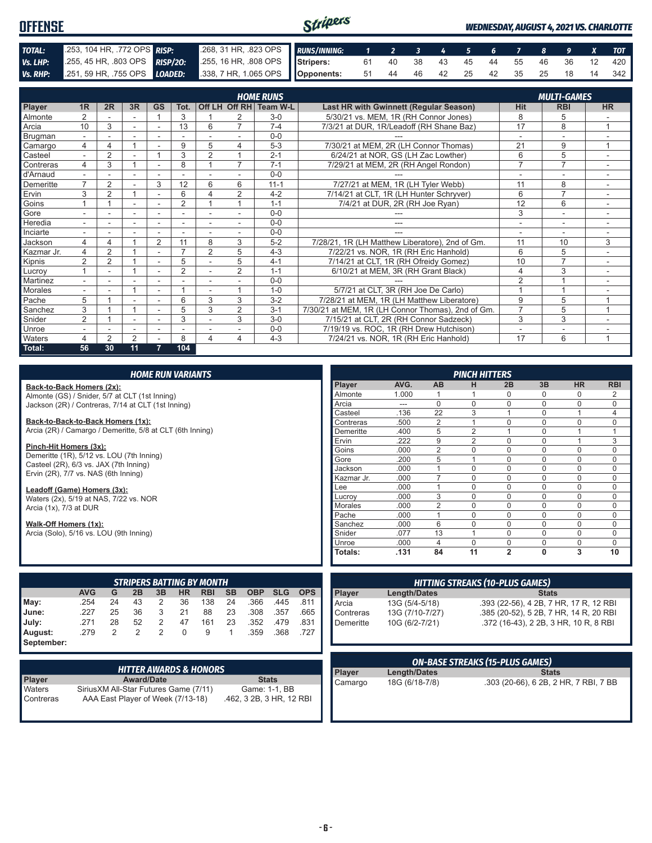| <b>OFFENSE</b> |                                                                                                         | Stripers                                                   |  |  |  |  |                               | <b>WEDNESDAY, AUGUST 4, 2021 VS. CHARLOTTE</b> |  |  |  |  |  |                                   |
|----------------|---------------------------------------------------------------------------------------------------------|------------------------------------------------------------|--|--|--|--|-------------------------------|------------------------------------------------|--|--|--|--|--|-----------------------------------|
| TOTAL:         | 253, 104 HR, 772 OPS RISP:                                                                              | .268, 31 HR, .823 OPS RUNS/INNING: 1 2 3 4 5 6 7 8 9 X TOT |  |  |  |  |                               |                                                |  |  |  |  |  |                                   |
| Vs. LHP:       | 255, 45 HR, 803 OPS RISP/20:                                                                            | 255, 16 HR, 808 OPS Stripers:                              |  |  |  |  | 61 40 38 43 45 44 55 46 36 12 |                                                |  |  |  |  |  | 420                               |
|                | Vs. RHP: $251, 59$ HR, .755 OPS $\boxed{LOADED}$ : $338, 7$ HR, 1.065 OPS $\boxed{ \text{Opponents}}$ : |                                                            |  |  |  |  |                               |                                                |  |  |  |  |  | 51 44 46 42 25 42 35 25 18 14 342 |

|                |                          |                |                          |           |                          |                |                | <b>HOME RUNS</b>       |                                                   |                | <b>MULTI-GAMES</b>       |                |
|----------------|--------------------------|----------------|--------------------------|-----------|--------------------------|----------------|----------------|------------------------|---------------------------------------------------|----------------|--------------------------|----------------|
| Player         | 1R                       | 2R             | 3R                       | <b>GS</b> | Tot.                     |                |                | Off LH Off RH Team W-L | Last HR with Gwinnett (Regular Season)            | Hit            | <b>RBI</b>               | <b>HR</b>      |
| <b>Almonte</b> |                          |                |                          |           | 3                        |                |                | $3-0$                  | 5/30/21 vs. MEM, 1R (RH Connor Jones)             | 8              | 5                        |                |
| Arcia          | 10                       | 3              |                          |           | 13                       | 6              | $\overline{ }$ | $7 - 4$                | 7/3/21 at DUR, 1R/Leadoff (RH Shane Baz)          | 17             | 8                        |                |
| Brugman        | $\overline{\phantom{0}}$ |                |                          |           |                          |                |                | $0 - 0$                |                                                   | ٠              | $\sim$                   |                |
| Camargo        | 4                        | 4              |                          |           | 9                        | 5              | 4              | $5-3$                  | 7/30/21 at MEM, 2R (LH Connor Thomas)             | 21             | 9                        |                |
| Casteel        |                          | $\overline{2}$ |                          |           | 3                        | $\overline{2}$ |                | $2 - 1$                | 6/24/21 at NOR. GS (LH Zac Lowther)               | 6              | 5                        |                |
| Contreras      | 4                        | 3              | 4                        |           | 8                        |                | $\overline{7}$ | $7 - 1$                | 7/29/21 at MEM, 2R (RH Angel Rondon)              | $\overline{7}$ | $\overline{7}$           |                |
| d'Arnaud       |                          |                |                          |           |                          |                |                | $0 - 0$                |                                                   |                |                          |                |
| Demeritte      | $\overline{ }$           | $\overline{2}$ |                          | 3         | 12                       | 6              | 6              | $11 - 1$               | 7/27/21 at MEM, 1R (LH Tyler Webb)                | 11             | 8                        |                |
| Ervin          | 3                        | $\overline{2}$ | 4                        |           | 6                        | Δ              | 2              | $4 - 2$                | 7/14/21 at CLT, 1R (LH Hunter Schryver)           | 6              | $\overline{7}$           |                |
| Goins          |                          |                |                          | ٠         | $\overline{2}$           |                |                | $1 - 1$                | 7/4/21 at DUR, 2R (RH Joe Ryan)                   | 12             | 6                        | ٠.             |
| Gore           |                          | ۰              | $\overline{\phantom{a}}$ | ۰         | $\qquad \qquad$          |                |                | $0 - 0$                |                                                   | 3              | $\overline{\phantom{a}}$ |                |
| Heredia        |                          |                | $\overline{\phantom{0}}$ |           | $\overline{\phantom{a}}$ |                | $\sim$         | $0 - 0$                |                                                   | ٠              | ۰                        |                |
| Inciarte       |                          |                |                          |           |                          |                |                | $0 - 0$                |                                                   |                |                          |                |
| Jackson        | 4                        | 4              |                          | 2         | 11                       | 8              | 3              | $5 - 2$                | 7/28/21, 1R (LH Matthew Liberatore), 2nd of Gm.   | 11             | 10                       | 3              |
| Kazmar Jr.     | 4                        | 2              |                          | ۰         | $\overline{ }$           | $\overline{2}$ | 5              | $4 - 3$                | 7/22/21 vs. NOR, 1R (RH Eric Hanhold)             | 6              | 5                        |                |
| Kipnis         | $\overline{2}$           | $\overline{2}$ |                          |           | 5                        |                | 5              | $4 - 1$                | 7/14/21 at CLT, 1R (RH Ofreidy Gomez)             | 10             | $\overline{7}$           | $\sim$         |
| Lucroy         |                          | ۰              |                          |           | $\overline{2}$           |                | 2              | $1 - 1$                | 6/10/21 at MEM, 3R (RH Grant Black)               | 4              | 3                        |                |
| Martinez       |                          |                |                          |           |                          |                |                | $0 - 0$                |                                                   | $\overline{2}$ |                          |                |
| Morales        |                          |                |                          | ٠         |                          |                |                | $1 - 0$                | 5/7/21 at CLT, 3R (RH Joe De Carlo)               |                |                          |                |
| Pache          | 5                        |                |                          |           | 6                        | 3              | 3              | $3 - 2$                | 7/28/21 at MEM, 1R (LH Matthew Liberatore)        | 9              | 5                        | $\overline{ }$ |
| Sanchez        | 3                        |                | 4                        |           | 5                        | 3              | 2              | $3 - 1$                | 7/30/21 at MEM, 1R (LH Connor Thomas), 2nd of Gm. | $\overline{7}$ | 5                        | 1              |
| Snider         | $\overline{2}$           |                |                          |           | 3                        |                | 3              | $3-0$                  | 7/15/21 at CLT, 2R (RH Connor Sadzeck)            | 3              | 3                        |                |
| Unroe          |                          |                |                          |           |                          |                |                | $0 - 0$                | 7/19/19 vs. ROC, 1R (RH Drew Hutchison)           |                |                          |                |
| <b>Waters</b>  |                          | 2              | $\overline{2}$           |           | 8                        | 4              | 4              | $4 - 3$                | 7/24/21 vs. NOR, 1R (RH Eric Hanhold)             | 17             | 6                        | $\overline{A}$ |
| Total:         | 56                       | 30             | 11                       | 7         | 104                      |                |                |                        |                                                   |                |                          |                |

|                                                           |            |                |                                  |                | <b>HOME RUN VARIANTS</b> |            |           |            |            |            |                                                                      |                     |                                        | <b>PINCH HITTERS</b>                   |                                        |              |             |             |
|-----------------------------------------------------------|------------|----------------|----------------------------------|----------------|--------------------------|------------|-----------|------------|------------|------------|----------------------------------------------------------------------|---------------------|----------------------------------------|----------------------------------------|----------------------------------------|--------------|-------------|-------------|
| Back-to-Back Homers (2x):                                 |            |                |                                  |                |                          |            |           |            |            |            | Player                                                               | AVG.                | <b>AB</b>                              | н                                      | 2B                                     | 3B           | <b>HR</b>   | <b>RBI</b>  |
| Almonte (GS) / Snider, 5/7 at CLT (1st Inning)            |            |                |                                  |                |                          |            |           |            |            |            | Almonte                                                              | 1.000               |                                        |                                        | $\Omega$                               | 0            | $\Omega$    | 2           |
| Jackson (2R) / Contreras, 7/14 at CLT (1st Inning)        |            |                |                                  |                |                          |            |           |            |            |            | Arcia                                                                | ---                 | $\Omega$                               | $\Omega$                               | $\Omega$                               | $\mathbf 0$  | $\Omega$    | $\mathbf 0$ |
|                                                           |            |                |                                  |                |                          |            |           |            |            |            | Casteel                                                              | .136                | 22                                     | 3                                      |                                        | $\mathbf 0$  |             | 4           |
| Back-to-Back-to-Back Homers (1x):                         |            |                |                                  |                |                          |            |           |            |            |            | Contreras                                                            | .500                | 2                                      |                                        | $\Omega$                               | $\mathbf 0$  | $\Omega$    | $\mathbf 0$ |
| Arcia (2R) / Camargo / Demeritte, 5/8 at CLT (6th Inning) |            |                |                                  |                |                          |            |           |            |            |            | Demeritte                                                            | .400                | 5                                      | $\overline{2}$                         |                                        | $\mathbf 0$  |             |             |
|                                                           |            |                |                                  |                |                          |            |           |            |            |            | Ervin                                                                | .222                | 9                                      | $\overline{2}$                         | $\Omega$                               | $\mathbf 0$  |             | 3           |
| Pinch-Hit Homers (3x):                                    |            |                |                                  |                |                          |            |           |            |            |            | Goins                                                                | .000                | $\overline{2}$                         | $\Omega$                               | $\Omega$                               | $\Omega$     | $\Omega$    | $\Omega$    |
| Demeritte (1R), 5/12 vs. LOU (7th Inning)                 |            |                |                                  |                |                          |            |           |            |            |            | Gore                                                                 | .200                | 5                                      |                                        | $\Omega$                               | $\mathbf 0$  | $\Omega$    | $\Omega$    |
| Casteel (2R), 6/3 vs. JAX (7th Inning)                    |            |                |                                  |                |                          |            |           |            |            |            | Jackson                                                              | .000                |                                        | $\Omega$                               | $\Omega$                               | $\mathbf 0$  | $\Omega$    | $\Omega$    |
| Ervin (2R), 7/7 vs. NAS (6th Inning)                      |            |                |                                  |                |                          |            |           |            |            |            | Kazmar Jr.                                                           | .000                | $\overline{7}$                         | $\Omega$                               | $\Omega$                               | $\mathbf 0$  | $\Omega$    | $\Omega$    |
| Leadoff (Game) Homers (3x):                               |            |                |                                  |                |                          |            |           |            |            |            | Lee                                                                  | .000                |                                        | $\Omega$                               | $\mathbf 0$                            | $\mathbf 0$  | 0           | $\Omega$    |
| Waters (2x), 5/19 at NAS, 7/22 vs. NOR                    |            |                |                                  |                |                          |            |           |            |            |            | Lucroy                                                               | .000                | 3                                      | $\Omega$                               | $\Omega$                               | $\Omega$     | $\Omega$    | $\Omega$    |
| Arcia (1x), 7/3 at DUR                                    |            |                |                                  |                |                          |            |           |            |            |            | Morales                                                              | .000                | $\overline{2}$                         | $\Omega$                               | $\Omega$                               | $\Omega$     | $\Omega$    | $\Omega$    |
|                                                           |            |                |                                  |                |                          |            |           |            |            |            | Pache                                                                | .000                |                                        | $\Omega$                               | $\Omega$                               | $\Omega$     | $\Omega$    | $\Omega$    |
| Walk-Off Homers (1x):                                     |            |                |                                  |                |                          |            |           |            |            |            | Sanchez                                                              | .000                | 6                                      | $\Omega$                               | $\mathbf 0$                            | $\mathbf 0$  | $\mathbf 0$ | $\mathbf 0$ |
| Arcia (Solo), 5/16 vs. LOU (9th Inning)                   |            |                |                                  |                |                          |            |           |            |            |            | Snider                                                               | .077                | 13                                     |                                        | $\Omega$                               | $\Omega$     | $\Omega$    | $\Omega$    |
|                                                           |            |                |                                  |                |                          |            |           |            |            |            | Unroe                                                                | .000                | $\overline{4}$                         | $\Omega$                               | $\mathbf 0$                            | $\mathbf 0$  | $\Omega$    | $\Omega$    |
|                                                           |            |                |                                  |                |                          |            |           |            |            |            | Totals:                                                              | .131                | 84                                     | 11                                     | $\overline{2}$                         | $\mathbf{0}$ | 3           | 10          |
|                                                           |            |                |                                  |                |                          |            |           |            |            |            |                                                                      |                     |                                        |                                        |                                        |              |             |             |
|                                                           |            |                | <b>STRIPERS BATTING BY MONTH</b> |                |                          |            |           |            |            |            |                                                                      |                     |                                        | <b>HITTING STREAKS (10-PLUS GAMES)</b> |                                        |              |             |             |
|                                                           | <b>AVG</b> | G              | 2B                               | 3B             | <b>HR</b>                | <b>RBI</b> | <b>SB</b> | <b>OBP</b> | <b>SLG</b> | <b>OPS</b> | Player                                                               | <b>Length/Dates</b> |                                        |                                        |                                        | <b>Stats</b> |             |             |
| May:                                                      | .254       | 24             | 43                               | 2              | 36                       | 138        | 24        | .366       | .445       | .811       | Arcia                                                                | 13G (5/4-5/18)      |                                        |                                        | .393 (22-56), 4 2B, 7 HR, 17 R, 12 RBI |              |             |             |
| June:                                                     | .227       | 25             | 36                               | 3              | 21                       | 88         | 23        | .308       | .357       | .665       | 13G (7/10-7/27)<br>Contreras                                         |                     | .385 (20-52), 5 2B, 7 HR, 14 R, 20 RBI |                                        |                                        |              |             |             |
| July:                                                     | .271       | 28             | 52                               | 2              | 47                       | 161        | 23        | .352       | .479       | .831       | Demeritte<br>10G (6/2-7/21)<br>.372 (16-43), 2 2B, 3 HR, 10 R, 8 RBI |                     |                                        |                                        |                                        |              |             |             |
| August:                                                   | .279       | $\mathfrak{p}$ | $\overline{2}$                   | $\overline{2}$ | $\Omega$                 | 9          | 1         | .359       | .368       | .727       |                                                                      |                     |                                        |                                        |                                        |              |             |             |
| September:                                                |            |                |                                  |                |                          |            |           |            |            |            |                                                                      |                     |                                        |                                        |                                        |              |             |             |

| <b>HITTER AWARDS &amp; HONORS</b> |                                                                             |                                           |  |  |  |  |  |
|-----------------------------------|-----------------------------------------------------------------------------|-------------------------------------------|--|--|--|--|--|
| <b>Player</b>                     | <b>Award/Date</b>                                                           | <b>Stats</b>                              |  |  |  |  |  |
| Waters<br>Contreras               | Sirius XM All-Star Futures Game (7/11)<br>AAA East Player of Week (7/13-18) | Game: 1-1, BB<br>.462, 3 2B, 3 HR, 12 RBI |  |  |  |  |  |

| Demeritte | 10G (6/2-7/21)  | .372 (16-43), 2 2B, 3 HR, 10 R, 8 RBI  |  |  |  |  |  |
|-----------|-----------------|----------------------------------------|--|--|--|--|--|
|           |                 |                                        |  |  |  |  |  |
| Contreras | 13G (7/10-7/27) | .385 (20-52), 5 2B, 7 HR, 14 R, 20 RBI |  |  |  |  |  |
| ∎Arcia    | 13G (5/4-5/18)  | .393 (22-56), 4 2B, 7 HR, 17 R, 12 RBI |  |  |  |  |  |

| ON-BASE STREAKS (15-PLUS GAMES)               |                |                                       |  |  |  |  |  |
|-----------------------------------------------|----------------|---------------------------------------|--|--|--|--|--|
| Player<br><b>Stats</b><br><b>Length/Dates</b> |                |                                       |  |  |  |  |  |
| Camargo                                       | 18G (6/18-7/8) | .303 (20-66), 6 2B, 2 HR, 7 RBI, 7 BB |  |  |  |  |  |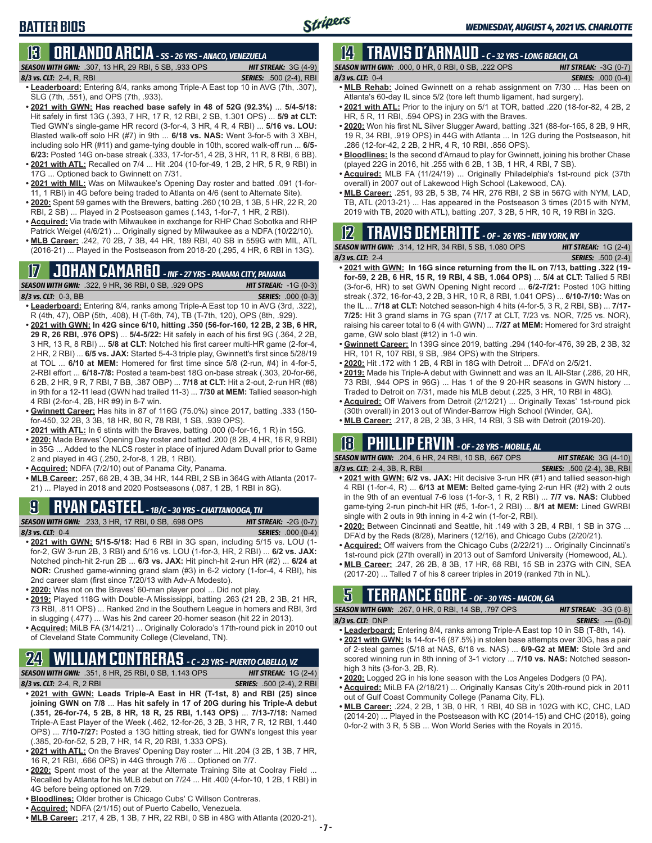## **13 ORLANDO ARCIA** *- SS - 26 YRS - ANACO, VENEZUELA*

*SEASON WITH GWN:*.307, 13 HR, 29 RBI, 5 SB, .933 OPS *HIT STREAK:* 3G (4-9)

#### *8/3 vs. CLT:*2-4, R, RBI *SERIES:* .500 (2-4), RBI

- **• Leaderboard:** Entering 8/4, ranks among Triple-A East top 10 in AVG (7th, .307), SLG (7th, .551), and OPS (7th, .933).
- **• 2021 with GWN: Has reached base safely in 48 of 52G (92.3%)** ... **5/4-5/18:**  Hit safely in first 13G (.393, 7 HR, 17 R, 12 RBI, 2 SB, 1.301 OPS) ... **5/9 at CLT:** Tied GWN's single-game HR record (3-for-4, 3 HR, 4 R, 4 RBI) ... **5/16 vs. LOU:** Blasted walk-off solo HR (#7) in 9th ... **6/18 vs. NAS:** Went 3-for-5 with 3 XBH, including solo HR (#11) and game-tying double in 10th, scored walk-off run ... **6/5- 6/23:** Posted 14G on-base streak (.333, 17-for-51, 4 2B, 3 HR, 11 R, 8 RBI, 6 BB). **• 2021 with ATL:** Recalled on 7/4 ... Hit .204 (10-for-49, 1 2B, 2 HR, 5 R, 9 RBI) in
- 17G ... Optioned back to Gwinnett on 7/31. **• 2021 with MIL:** Was on Milwaukee's Opening Day roster and batted .091 (1-for-
- 11, 1 RBI) in 4G before being traded to Atlanta on 4/6 (sent to Alternate Site).
- **• 2020:** Spent 59 games with the Brewers, batting .260 (10 2B, 1 3B, 5 HR, 22 R, 20 RBI, 2 SB) ... Played in 2 Postseason games (.143, 1-for-7, 1 HR, 2 RBI).
- **• Acquired:** Via trade with Milwaukee in exchange for RHP Chad Sobotka and RHP Patrick Weigel (4/6/21) ... Originally signed by Milwaukee as a NDFA (10/22/10).
- **• MLB Career:** .242, 70 2B, 7 3B, 44 HR, 189 RBI, 40 SB in 559G with MIL, ATL (2016-21) ... Played in the Postseason from 2018-20 (.295, 4 HR, 6 RBI in 13G).

## **17 JOHAN CAMARGO** *- INF - 27 YRS - PANAMA CITY, PANAMA*



**• Leaderboard:** Entering 8/4, ranks among Triple-A East top 10 in AVG (3rd, .322), R (4th, 47), OBP (5th, .408), H (T-6th, 74), TB (T-7th, 120), OPS (8th, .929).

- **• 2021 with GWN: In 42G since 6/10, hitting .350 (56-for-160, 12 2B, 2 3B, 6 HR, 29 R, 26 RBI, .976 OPS)** ... **5/4-5/22:** Hit safely in each of his first 9G (.364, 2 2B, 3 HR, 13 R, 8 RBI) ... **5/8 at CLT:** Notched his first career multi-HR game (2-for-4, 2 HR, 2 RBI) ... **6/5 vs. JAX:** Started 5-4-3 triple play, Gwinnett's first since 5/28/19 at TOL ... **6/10 at MEM:** Homered for first time since 5/8 (2-run, #4) in 4-for-5, 2-RBI effort ... **6/18-7/8:** Posted a team-best 18G on-base streak (.303, 20-for-66, 6 2B, 2 HR, 9 R, 7 RBI, 7 BB, .387 OBP) ... **7/18 at CLT:** Hit a 2-out, 2-run HR (#8) in 9th for a 12-11 lead (GWN had trailed 11-3) ... **7/30 at MEM:** Tallied season-high 4 RBI (2-for-4, 2B, HR #9) in 8-7 win.
- **• Gwinnett Career:** Has hits in 87 of 116G (75.0%) since 2017, batting .333 (150 for-450, 32 2B, 3 3B, 18 HR, 80 R, 78 RBI, 1 SB, .939 OPS).
- **• 2021 with ATL:** In 6 stints with the Braves, batting .000 (0-for-16, 1 R) in 15G.
- **• 2020:** Made Braves' Opening Day roster and batted .200 (8 2B, 4 HR, 16 R, 9 RBI) in 35G ... Added to the NLCS roster in place of injured Adam Duvall prior to Game 2 and played in 4G (.250, 2-for-8, 1 2B, 1 RBI).
- **• Acquired:** NDFA (7/2/10) out of Panama City, Panama.
- **• MLB Career:** .257, 68 2B, 4 3B, 34 HR, 144 RBI, 2 SB in 364G with Atlanta (2017- 21) ... Played in 2018 and 2020 Postseasons (.087, 1 2B, 1 RBI in 8G).

## **9 RYAN CASTEEL** *- 1B/C - 30 YRS - CHATTANOOGA, TN*

*SEASON WITH GWN:*.233, 3 HR, 17 RBI, 0 SB, .698 OPS *HIT STREAK:* -2G (0-7) *8/3 vs. CLT:*0-4 *SERIES:* .000 (0-4)

- **• 2021 with GWN: 5/15-5/18:** Had 6 RBI in 3G span, including 5/15 vs. LOU (1 for-2, GW 3-run 2B, 3 RBI) and 5/16 vs. LOU (1-for-3, HR, 2 RBI) ... **6/2 vs. JAX:** Notched pinch-hit 2-run 2B ... **6/3 vs. JAX:** Hit pinch-hit 2-run HR (#2) ... **6/24 at NOR:** Crushed game-winning grand slam (#3) in 6-2 victory (1-for-4, 4 RBI), his 2nd career slam (first since 7/20/13 with Adv-A Modesto).
- **• 2020:** Was not on the Braves' 60-man player pool ... Did not play.
- **• 2019:** Played 118G with Double-A Mississippi, batting .263 (21 2B, 2 3B, 21 HR, 73 RBI, .811 OPS) ... Ranked 2nd in the Southern League in homers and RBI, 3rd in slugging (.477) ... Was his 2nd career 20-homer season (hit 22 in 2013).
- **• Acquired:** MiLB FA (3/14/21) ... Originally Colorado's 17th-round pick in 2010 out of Cleveland State Community College (Cleveland, TN).

## **24 WILLIAM CONTRERAS** *- C - 23 YRS - PUERTO CABELLO, VZ*

- *SEASON WITH GWN:*.351, 8 HR, 25 RBI, 0 SB, 1.143 OPS *HIT STREAK:* 1G (2-4) *8/3 vs. CLT:* 2-4, R, 2 RBI *SERIES:* .500 (2-4), 2 RBI
- **• 2021 with GWN: Leads Triple-A East in HR (T-1st, 8) and RBI (25) since joining GWN on 7/8** ... **Has hit safely in 17 of 20G during his Triple-A debut (.351, 26-for-74, 5 2B, 8 HR, 18 R, 25 RBI, 1.143 OPS)** ... **7/13-7/18:** Named Triple-A East Player of the Week (.462, 12-for-26, 3 2B, 3 HR, 7 R, 12 RBI, 1.440 OPS) ... **7/10-7/27:** Posted a 13G hitting streak, tied for GWN's longest this year (.385, 20-for-52, 5 2B, 7 HR, 14 R, 20 RBI, 1.333 OPS).
- **• 2021 with ATL:** On the Braves' Opening Day roster ... Hit .204 (3 2B, 1 3B, 7 HR, 16 R, 21 RBI, .666 OPS) in 44G through 7/6 ... Optioned on 7/7.
- **• 2020:** Spent most of the year at the Alternate Training Site at Coolray Field ... Recalled by Atlanta for his MLB debut on 7/24 ... Hit .400 (4-for-10, 1 2B, 1 RBI) in 4G before being optioned on 7/29.
- **• Bloodlines:** Older brother is Chicago Cubs' C Willson Contreras.
- **• Acquired:** NDFA (2/1/15) out of Puerto Cabello, Venezuela.
- **• MLB Career:** .217, 4 2B, 1 3B, 7 HR, 22 RBI, 0 SB in 48G with Atlanta (2020-21).

## **14 TRAVIS d'ARNAUD** *- C - 32 YRS - LONG BEACH, CA*

|                  | <b>SEASON WITH GWN:</b> .000, 0 HR, 0 RBI, 0 SB, .222 OPS . | <b>HIT STREAK:</b> $-3G(0-7)$ |                                           |
|------------------|-------------------------------------------------------------|-------------------------------|-------------------------------------------|
| 8/3 vs. CLT: 0-4 |                                                             |                               | <b>SERIES:</b> .000 (0-4)                 |
|                  |                                                             |                               | and the second terms of the second second |

- **• MLB Rehab:** Joined Gwinnett on a rehab assignment on 7/30 ... Has been on Atlanta's 60-day IL since 5/2 (tore left thumb ligament, had surgery).
- **• 2021 with ATL:** Prior to the injury on 5/1 at TOR, batted .220 (18-for-82, 4 2B, 2 HR, 5 R, 11 RBI, .594 OPS) in 23G with the Braves.
- **• 2020:** Won his first NL Silver Slugger Award, batting .321 (88-for-165, 8 2B, 9 HR, 19 R, 34 RBI, .919 OPS) in 44G with Atlanta ... In 12G during the Postseason, hit .286 (12-for-42, 2 2B, 2 HR, 4 R, 10 RBI, .856 OPS).
- **• Bloodlines:** Is the second d'Arnaud to play for Gwinnett, joining his brother Chase (played 22G in 2016, hit .255 with 6 2B, 1 3B, 1 HR, 4 RBI, 7 SB).
- **• Acquired:** MLB FA (11/24/19) ... Originally Philadelphia's 1st-round pick (37th overall) in 2007 out of Lakewood High School (Lakewood, CA).
- **• MLB Career:** .251, 93 2B, 5 3B, 74 HR, 276 RBI, 2 SB in 567G with NYM, LAD, TB, ATL (2013-21) ... Has appeared in the Postseason 3 times (2015 with NYM, 2019 with TB, 2020 with ATL), batting .207, 3 2B, 5 HR, 10 R, 19 RBI in 32G.

### **12 TRAVIS DEMERITTE** *- OF - 26 YRS - NEW YORK, NY*

*SEASON WITH GWN:*.314, 12 HR, 34 RBI, 5 SB, 1.080 OPS *HIT STREAK:* 1G (2-4) *8/3 vs. CLT:*2-4 *SERIES:* .500 (2-4)

- **• 2021 with GWN: In 16G since returning from the IL on 7/13, batting .322 (19 for-59, 2 2B, 6 HR, 15 R, 19 RBI, 4 SB, 1.064 OPS)** ... **5/4 at CLT:** Tallied 5 RBI (3-for-6, HR) to set GWN Opening Night record ... **6/2-7/21:** Posted 10G hitting streak (.372, 16-for-43, 2 2B, 3 HR, 10 R, 8 RBI, 1.041 OPS) ... **6/10-7/10:** Was on the IL ... **7/18 at CLT:** Notched season-high 4 hits (4-for-5, 3 R, 2 RBI, SB) ... **7/17- 7/25:** Hit 3 grand slams in 7G span (7/17 at CLT, 7/23 vs. NOR, 7/25 vs. NOR), raising his career total to 6 (4 with GWN) ... **7/27 at MEM:** Homered for 3rd straight game, GW solo blast (#12) in 1-0 win.
- **• Gwinnett Career:** In 139G since 2019, batting .294 (140-for-476, 39 2B, 2 3B, 32 HR, 101 R, 107 RBI, 9 SB, .984 OPS) with the Stripers.
- **• 2020:** Hit .172 with 1 2B, 4 RBI in 18G with Detroit ... DFA'd on 2/5/21.
- **• 2019:** Made his Triple-A debut with Gwinnett and was an IL All-Star (.286, 20 HR, 73 RBI, .944 OPS in 96G) ... Has 1 of the 9 20-HR seasons in GWN history ... Traded to Detroit on 7/31, made his MLB debut (.225, 3 HR, 10 RBI in 48G).
- **• Acquired:** Off Waivers from Detroit (2/12/21) ... Originally Texas' 1st-round pick (30th overall) in 2013 out of Winder-Barrow High School (Winder, GA).
- **• MLB Career:** .217, 8 2B, 2 3B, 3 HR, 14 RBI, 3 SB with Detroit (2019-20).

### **18 PHILLIP ERVIN** *- OF - 28 YRS - MOBILE, AL*

*SEASON WITH GWN:*.204, 6 HR, 24 RBI, 10 SB, .667 OPS *HIT STREAK:* 3G (4-10) *8/3 vs. CLT:*2-4, 3B, R, RBI *SERIES:* .500 (2-4), 3B, RBI

- **• 2021 with GWN: 6/2 vs. JAX:** Hit decisive 3-run HR (#1) and tallied season-high 4 RBI (1-for-4, R) ... **6/13 at MEM:** Belted game-tying 2-run HR (#2) with 2 outs in the 9th of an eventual 7-6 loss (1-for-3, 1 R, 2 RBI) ... **7/7 vs. NAS:** Clubbed game-tying 2-run pinch-hit HR (#5, 1-for-1, 2 RBI) ... **8/1 at MEM:** Lined GWRBI single with 2 outs in 9th inning in 4-2 win (1-for-2, RBI).
- **• 2020:** Between Cincinnati and Seattle, hit .149 with 3 2B, 4 RBI, 1 SB in 37G ... DFA'd by the Reds (8/28), Mariners (12/16), and Chicago Cubs (2/20/21).
- **• Acquired:** Off waivers from the Chicago Cubs (2/22/21) ... Originally Cincinnati's 1st-round pick (27th overall) in 2013 out of Samford University (Homewood, AL).
- **• MLB Career:** .247, 26 2B, 8 3B, 17 HR, 68 RBI, 15 SB in 237G with CIN, SEA (2017-20) ... Talled 7 of his 8 career triples in 2019 (ranked 7th in NL).

## **5 TERRANCE GORE** *- OF - 30 YRS - MACON, GA*

*SEASON WITH GWN:*.267, 0 HR, 0 RBI, 14 SB, .797 OPS *HIT STREAK:* -3G (0-8)

- *8/3 vs. CLT:*DNP *SERIES:* .--- (0-0) **• Leaderboard:** Entering 8/4, ranks among Triple-A East top 10 in SB (T-8th, 14).
- **• 2021 with GWN:** Is 14-for-16 (87.5%) in stolen base attempts over 30G, has a pair of 2-steal games (5/18 at NAS, 6/18 vs. NAS) ... **6/9-G2 at MEM:** Stole 3rd and scored winning run in 8th inning of 3-1 victory ... **7/10 vs. NAS:** Notched seasonhigh 3 hits (3-for-3, 2B, R).
- **• 2020:** Logged 2G in his lone season with the Los Angeles Dodgers (0 PA).
- **• Acquired:** MiLB FA (2/18/21) ... Originally Kansas City's 20th-round pick in 2011 out of Gulf Coast Community College (Panama City, FL).
- **• MLB Career:** .224, 2 2B, 1 3B, 0 HR, 1 RBI, 40 SB in 102G with KC, CHC, LAD (2014-20) ... Played in the Postseason with KC (2014-15) and CHC (2018), going 0-for-2 with 3 R, 5 SB ... Won World Series with the Royals in 2015.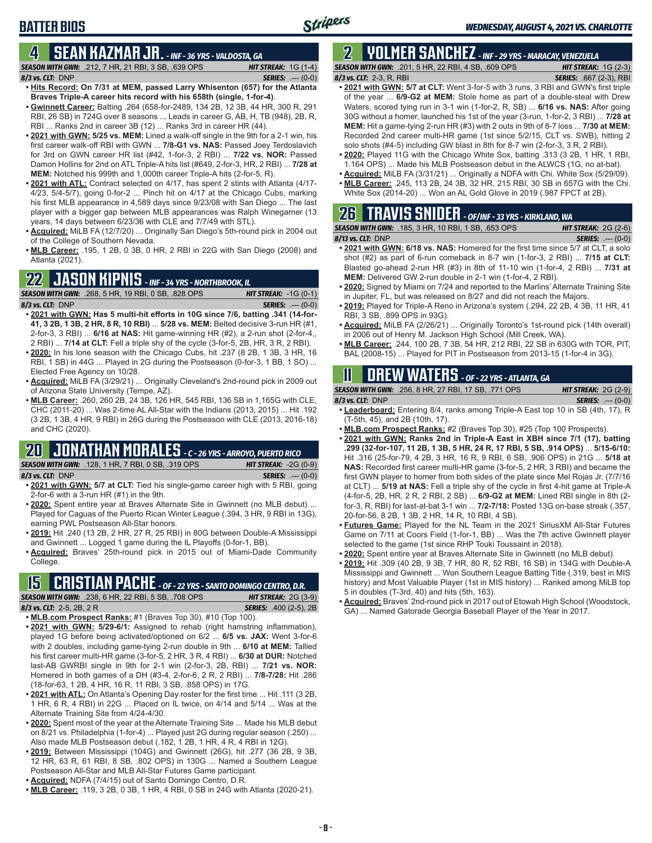### **4 SEAN KAZMAR JR.** *- INF - 36 YRS - VALDOSTA, GA*

- *SEASON WITH GWN:*.212, 7 HR, 21 RBI, 3 SB, .639 OPS *HIT STREAK:* 1G (1-4) *8/3 vs. CLT:*DNP *SERIES:* .--- (0-0)
- **• Hits Record: On 7/31 at MEM, passed Larry Whisenton (657) for the Atlanta Braves Triple-A career hits record with his 658th (single, 1-for-4)**.
- **• Gwinnett Career:** Batting .264 (658-for-2489, 134 2B, 12 3B, 44 HR, 300 R, 291 RBI, 26 SB) in 724G over 8 seasons ... Leads in career G, AB, H, TB (948), 2B, R, RBI ... Ranks 2nd in career 3B (12) ... Ranks 3rd in career HR (44).
- **• 2021 with GWN: 5/25 vs. MEM:** Lined a walk-off single in the 9th for a 2-1 win, his first career walk-off RBI with GWN ... **7/8-G1 vs. NAS:** Passed Joey Terdoslavich for 3rd on GWN career HR list (#42, 1-for-3, 2 RBI) ... **7/22 vs. NOR:** Passed Damon Hollins for 2nd on ATL Triple-A hits list (#649, 2-for-3, HR, 2 RBI) ... **7/28 at MEM:** Notched his 999th and 1,000th career Triple-A hits (2-for-5, R).
- **• 2021 with ATL:** Contract selected on 4/17, has spent 2 stints with Atlanta (4/17- 4/23, 5/4-5/7), going 0-for-2 ... Pinch hit on 4/17 at the Chicago Cubs, marking his first MLB appearance in 4,589 days since 9/23/08 with San Diego ... The last player with a bigger gap between MLB appearances was Ralph Winegarner (13 years, 14 days between 6/23/36 with CLE and 7/7/49 with STL).
- **• Acquired:** MiLB FA (12/7/20) ... Originally San Diego's 5th-round pick in 2004 out of the College of Southern Nevada.
- **• MLB Career:** .195, 1 2B, 0 3B, 0 HR, 2 RBI in 22G with San Diego (2008) and Atlanta (2021).

## **22 JASON KIPNIS** *- INF - 34 YRS - NORTHBROOK, IL*

*SEASON WITH GWN:*.268, 5 HR, 19 RBI, 0 SB, .828 OPS *HIT STREAK:* -1G (0-1) *8/3 vs. CLT:*DNP *SERIES:* .--- (0-0)

- **• 2021 with GWN: Has 5 multi-hit efforts in 10G since 7/6, batting .341 (14-for-41, 3 2B, 1 3B, 2 HR, 8 R, 10 RBI)** ... **5/28 vs. MEM:** Belted decisive 3-run HR (#1, 2-for-3, 3 RBI) ... **6/16 at NAS:** Hit game-winning HR (#2), a 2-run shot (2-for-4,, 2 RBI) ... **7/14 at CLT:** Fell a triple shy of the cycle (3-for-5, 2B, HR, 3 R, 2 RBI).
- **• 2020:** In his lone season with the Chicago Cubs, hit .237 (8 2B, 1 3B, 3 HR, 16 RBI, 1 SB) in 44G ... Played in 2G during the Postseason (0-for-3, 1 BB, 1 SO) ... Elected Free Agency on 10/28.
- **• Acquired:** MiLB FA (3/29/21) ... Originally Cleveland's 2nd-round pick in 2009 out of Arizona State University (Tempe, AZ).
- **• MLB Career:** .260, 260 2B, 24 3B, 126 HR, 545 RBI, 136 SB in 1,165G with CLE, CHC (2011-20) ... Was 2-time AL All-Star with the Indians (2013, 2015) ... Hit .192 (3 2B, 1 3B, 4 HR, 9 RBI) in 26G during the Postseason with CLE (2013, 2016-18) and CHC (2020).

## **20 JONATHAN MORALES** *- C - 26 YRS - ARROYO, PUERTO RICO*

*SEASON WITH GWN:*.128, 1 HR, 7 RBI, 0 SB, .319 OPS *HIT STREAK:* -2G (0-9) *8/3 vs. CLT:*DNP *SERIES:* .--- (0-0)

- **• 2021 with GWN: 5/7 at CLT:** Tied his single-game career high with 5 RBI, going 2-for-6 with a 3-run HR (#1) in the 9th.
- **• 2020:** Spent entire year at Braves Alternate Site in Gwinnett (no MLB debut) ... Played for Caguas of the Puerto Rican Winter League (.394, 3 HR, 9 RBI in 13G), earning PWL Postseason All-Star honors.
- **• 2019:** Hit .240 (13 2B, 2 HR, 27 R, 25 RBI) in 80G between Double-A Mississippi and Gwinnett ... Logged 1 game during the IL Playoffs (0-for-1, BB).
- **• Acquired:** Braves' 25th-round pick in 2015 out of Miami-Dade Community College.

## **15 CRISTIAN PACHE** *- OF - 22 YRS - SANTO DOMINGO CENTRO, D.R.*

| <b>SEASON WITH GWN:</b> .238. 6 HR. 22 RBI. 5 SB. .708 OPS |  |                                                           | <b>HIT STREAK:</b> $2G(3-9)$  |
|------------------------------------------------------------|--|-----------------------------------------------------------|-------------------------------|
| 8/3 vs. CLT: $2-5$ , $2B$ , $2R$                           |  |                                                           | <b>SERIES:</b> .400 (2-5), 2B |
|                                                            |  | $\equiv$ $\sim$ $\sim$ $\sim$ $\sim$ $\sim$ $\sim$ $\sim$ |                               |

- **• MLB.com Prospect Ranks:** #1 (Braves Top 30), #10 (Top 100).
- **• 2021 with GWN: 5/29-6/1:** Assigned to rehab (right hamstring inflammation), played 1G before being activated/optioned on 6/2 ... **6/5 vs. JAX:** Went 3-for-6 with 2 doubles, including game-tying 2-run double in 9th ... **6/10 at MEM:** Tallied his first career multi-HR game (3-for-5, 2 HR, 3 R, 4 RBI) ... **6/30 at DUR:** Notched last-AB GWRBI single in 9th for 2-1 win (2-for-3, 2B, RBI) ... **7/21 vs. NOR:** Homered in both games of a DH (#3-4, 2-for-6, 2 R, 2 RBI) ... **7/8-7/28:** Hit .286 (18-for-63, 1 2B, 4 HR, 16 R, 11 RBI, 3 SB, .858 OPS) in 17G.
- **• 2021 with ATL:** On Atlanta's Opening Day roster for the first time ... Hit .111 (3 2B, 1 HR, 6 R, 4 RBI) in 22G ... Placed on IL twice, on 4/14 and 5/14 ... Was at the Alternate Training Site from 4/24-4/30.
- **• 2020:** Spent most of the year at the Alternate Training Site ... Made his MLB debut on 8/21 vs. Philadelphia (1-for-4) ... Played just 2G during regular season (.250) ... Also made MLB Postseason debut (.182, 1 2B, 1 HR, 4 R, 4 RBI in 12G).
- **• 2019:** Between Mississippi (104G) and Gwinnett (26G), hit .277 (36 2B, 9 3B, 12 HR, 63 R, 61 RBI, 8 SB, .802 OPS) in 130G ... Named a Southern League Postseason All-Star and MLB All-Star Futures Game participant.
- **• Acquired:** NDFA (7/4/15) out of Santo Domingo Centro, D.R.
- **• MLB Career:** .119, 3 2B, 0 3B, 1 HR, 4 RBI, 0 SB in 24G with Atlanta (2020-21).

## **2 YOLMER SANCHEZ** *- INF - 29 YRS - MARACAY, VENEZUELA*

*SEASON WITH GWN:*.201, 5 HR, 22 RBI, 4 SB, .609 OPS *HIT STREAK:* 1G (2-3) *8/3 vs. CLT:*2-3, R, RBI *SERIES:* .667 (2-3), RBI

- **• 2021 with GWN: 5/7 at CLT:** Went 3-for-5 with 3 runs, 3 RBI and GWN's first triple of the year ... **6/9-G2 at MEM:** Stole home as part of a double-steal with Drew Waters, scored tying run in 3-1 win (1-for-2, R, SB) ... **6/16 vs. NAS:** After going 30G without a homer, launched his 1st of the year (3-run, 1-for-2, 3 RBI) ... **7/28 at MEM:** Hit a game-tying 2-run HR (#3) with 2 outs in 9th of 8-7 loss ... **7/30 at MEM:** Recorded 2nd career multi-HR game (1st since 5/2/15, CLT vs. SWB), hitting 2 solo shots (#4-5) including GW blast in 8th for 8-7 win (2-for-3, 3 R, 2 RBI).
- **• 2020:** Played 11G with the Chicago White Sox, batting .313 (3 2B, 1 HR, 1 RBI, 1.164 OPS) ... Made his MLB Postseason debut in the ALWCS (1G, no at-bat).
- **• Acquired:** MiLB FA (3/31/21) ... Originally a NDFA with Chi. White Sox (5/29/09).
- **• MLB Career:** .245, 113 2B, 24 3B, 32 HR, 215 RBI, 30 SB in 657G with the Chi. White Sox (2014-20) ... Won an AL Gold Glove in 2019 (.987 FPCT at 2B).

## **26 TRAVIS SNIDER** *- OF/INF - 33 YRS - KIRKLAND, WA*

|                     | <b>SEASON WITH GWN:</b> .185, 3 HR, 10 RBI, 1 SB, .653 OPS                                                                                                                                                                                                                                                                                                                                                             | <b>HIT STREAK:</b> $2G(2-6)$ |
|---------------------|------------------------------------------------------------------------------------------------------------------------------------------------------------------------------------------------------------------------------------------------------------------------------------------------------------------------------------------------------------------------------------------------------------------------|------------------------------|
| $8/13$ vs. CLT: DNP |                                                                                                                                                                                                                                                                                                                                                                                                                        | <b>SERIES:</b> $--- (0-0)$   |
|                     | $\mathbf{A} \mathbf{A} \mathbf{A} \mathbf{A} \mathbf{A} \mathbf{A} \mathbf{A} \mathbf{A} \mathbf{A} \mathbf{A} \mathbf{A} \mathbf{A} \mathbf{A} \mathbf{A} \mathbf{A} \mathbf{A} \mathbf{A} \mathbf{A} \mathbf{A} \mathbf{A} \mathbf{A} \mathbf{A} \mathbf{A} \mathbf{A} \mathbf{A} \mathbf{A} \mathbf{A} \mathbf{A} \mathbf{A} \mathbf{A} \mathbf{A} \mathbf{A} \mathbf{A} \mathbf{A} \mathbf{A} \mathbf{A} \mathbf{$ |                              |

- **• 2021 with GWN: 6/18 vs. NAS:** Homered for the first time since 5/7 at CLT, a solo shot (#2) as part of 6-run comeback in 8-7 win (1-for-3, 2 RBI) ... **7/15 at CLT:** Blasted go-ahead 2-run HR (#3) in 8th of 11-10 win (1-for-4, 2 RBI) ... **7/31 at MEM:** Delivered GW 2-run double in 2-1 win (1-for-4, 2 RBI).
- **• 2020:** Signed by Miami on 7/24 and reported to the Marlins' Alternate Training Site in Jupiter, FL, but was released on 8/27 and did not reach the Majors.
- **• 2019:** Played for Triple-A Reno in Arizona's system (.294, 22 2B, 4 3B, 11 HR, 41 RBI, 3 SB, .899 OPS in 93G).
- **• Acquired:** MiLB FA (2/26/21) ... Originally Toronto's 1st-round pick (14th overall) in 2006 out of Henry M. Jackson High School (Mill Creek, WA).
- **• MLB Career:** .244, 100 2B, 7 3B, 54 HR, 212 RBI, 22 SB in 630G with TOR, PIT, BAL (2008-15) ... Played for PIT in Postseason from 2013-15 (1-for-4 in 3G).

## **11 Drew WATERS** *- OF - 22 YRS - ATLANTA, GA*

| <b>SEASON WITH GWN: .256, 8 HR, 27 RBI, 17 SB, .771 OPS</b>                                             |  |  | <b>HIT STREAK:</b> $2G(2-9)$ |                            |
|---------------------------------------------------------------------------------------------------------|--|--|------------------------------|----------------------------|
| $8/3$ vs. CLT: DNP                                                                                      |  |  |                              | <b>SERIES:</b> $--- (0-0)$ |
| $\blacksquare$ . Leaderbeard, Friedrich $0/4$ replie appears Triple A Feat ten 40 in CD $/44$ k $-47$ D |  |  |                              |                            |

- **• Leaderboard:** Entering 8/4, ranks among Triple-A East top 10 in SB (4th, 17), R (T-5th, 45), and 2B (10th, 17).
- **• MLB.com Prospect Ranks:** #2 (Braves Top 30), #25 (Top 100 Prospects).
- **• 2021 with GWN: Ranks 2nd in Triple-A East in XBH since 7/1 (17), batting .299 (32-for-107, 11 2B, 1 3B, 5 HR, 24 R, 17 RBI, 5 SB, .914 OPS)** ... **5/15-6/10:** Hit .316 (25-for-79, 4 2B, 3 HR, 16 R, 9 RBI, 6 SB, .906 OPS) in 21G ... **5/18 at NAS:** Recorded first career multi-HR game (3-for-5, 2 HR, 3 RBI) and became the first GWN player to homer from both sides of the plate since Mel Rojas Jr. (7/7/16 at CLT) ... **5/19 at NAS:** Fell a triple shy of the cycle in first 4-hit game at Triple-A (4-for-5, 2B, HR, 2 R, 2 RBI, 2 SB) ... **6/9-G2 at MEM:** Lined RBI single in 8th (2 for-3, R, RBI) for last-at-bat 3-1 win ... **7/2-7/18:** Posted 13G on-base streak (.357, 20-for-56, 8 2B, 1 3B, 2 HR, 14 R, 10 RBI, 4 SB).
- **• Futures Game:** Played for the NL Team in the 2021 SiriusXM All-Star Futures Game on 7/11 at Coors Field (1-for-1, BB) ... Was the 7th active Gwinnett player selected to the game (1st since RHP Touki Toussaint in 2018).
- **• 2020:** Spent entire year at Braves Alternate Site in Gwinnett (no MLB debut).
- **• 2019:** Hit .309 (40 2B, 9 3B, 7 HR, 80 R, 52 RBI, 16 SB) in 134G with Double-A Mississippi and Gwinnett ... Won Southern League Batting Title (.319, best in MIS history) and Most Valuable Player (1st in MIS history) ... Ranked among MiLB top 5 in doubles (T-3rd, 40) and hits (5th, 163).
- **• Acquired:** Braves' 2nd-round pick in 2017 out of Etowah High School (Woodstock, GA) ... Named Gatorade Georgia Baseball Player of the Year in 2017.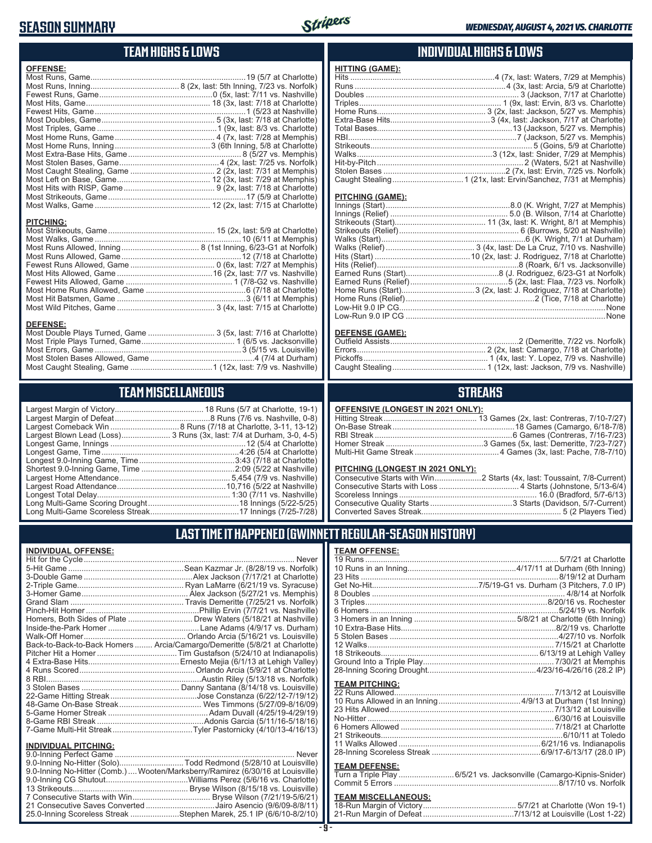## **SEASON SUMMARY**



## **TEAM HIGHS & LOWS**

| <b>OFFENSE:</b>  |  |
|------------------|--|
|                  |  |
|                  |  |
|                  |  |
|                  |  |
|                  |  |
|                  |  |
|                  |  |
|                  |  |
|                  |  |
|                  |  |
|                  |  |
|                  |  |
|                  |  |
|                  |  |
|                  |  |
|                  |  |
|                  |  |
| <b>PITCHING:</b> |  |
|                  |  |
|                  |  |
|                  |  |
|                  |  |
|                  |  |
|                  |  |
|                  |  |
|                  |  |
|                  |  |
|                  |  |
|                  |  |

#### **DEFENSE:**

| Most Double Plays Turned, Game  3 (5x, last: 7/16 at Charlotte) |  |
|-----------------------------------------------------------------|--|
|                                                                 |  |
|                                                                 |  |
|                                                                 |  |
|                                                                 |  |
|                                                                 |  |

## **TEAM MISCELLANEOUS**

| Largest Blown Lead (Loss) 3 Runs (3x, last: 7/4 at Durham, 3-0, 4-5) |
|----------------------------------------------------------------------|
|                                                                      |
| Longest Game, Time……………………………………………………4:26 (5/4 at Charlotte)        |
|                                                                      |
|                                                                      |
|                                                                      |
|                                                                      |
|                                                                      |
|                                                                      |
|                                                                      |
|                                                                      |

### **INDIVIDUAL HIGHS & LOWS**

| <b>HITTING (GAME):</b> |  |
|------------------------|--|
|                        |  |
|                        |  |
|                        |  |
|                        |  |
|                        |  |
|                        |  |
|                        |  |
|                        |  |
|                        |  |
|                        |  |
|                        |  |
|                        |  |
|                        |  |
|                        |  |

#### **PITCHING (GAME):**

#### **DEFENSE (GAME):**

### **STREAKS**

#### **OFFENSIVE (LONGEST IN 2021 ONLY):**

#### **PITCHING (LONGEST IN 2021 ONLY):**

### **LAST TIME IT HAPPENED (GWINNETT REGULAR-SEASON HISTORY)**

#### **INDIVIDUAL OFFENSE:**

|                                                               | Homers, Both Sides of Plate ………………………… Drew Waters (5/18/21 at Nashville)  |
|---------------------------------------------------------------|----------------------------------------------------------------------------|
|                                                               |                                                                            |
|                                                               |                                                                            |
|                                                               | Back-to-Back-to-Back Homers  Arcia/Camargo/Demeritte (5/8/21 at Charlotte) |
|                                                               |                                                                            |
|                                                               |                                                                            |
|                                                               |                                                                            |
|                                                               |                                                                            |
|                                                               |                                                                            |
|                                                               |                                                                            |
|                                                               |                                                                            |
|                                                               |                                                                            |
|                                                               |                                                                            |
|                                                               |                                                                            |
|                                                               |                                                                            |
| <b>INDIVIDUAL PITCHING:</b><br><b>Q O-Inning Perfect Game</b> | Never                                                                      |
|                                                               |                                                                            |

| 9.0-Inning No-Hitter (Solo)Todd Redmond (5/28/10 at Louisville)                |  |
|--------------------------------------------------------------------------------|--|
| 9.0-Inning No-Hitter (Comb.) Wooten/Marksberry/Ramirez (6/30/16 at Louisville) |  |
|                                                                                |  |
|                                                                                |  |
|                                                                                |  |
| 21 Consecutive Saves Converted Jairo Asencio (9/6/09-8/8/11)                   |  |
| 25.0-Inning Scoreless Streak Stephen Marek, 25.1 IP (6/6/10-8/2/10)            |  |
|                                                                                |  |

#### **TEAM OFFENSE:**

| <b>TEAM PITCHING:</b> |                                                                     |
|-----------------------|---------------------------------------------------------------------|
|                       |                                                                     |
|                       |                                                                     |
|                       |                                                                     |
|                       |                                                                     |
|                       |                                                                     |
|                       |                                                                     |
|                       |                                                                     |
|                       |                                                                     |
|                       |                                                                     |
| <b>TEAM DEFENSE:</b>  |                                                                     |
|                       | Turn a Triple Play  6/5/21 vs. Jacksonville (Camargo-Kipnis-Snider) |
|                       |                                                                     |

| <b>TEAM MISCELLANEOUS:</b> |  |
|----------------------------|--|
|                            |  |
|                            |  |